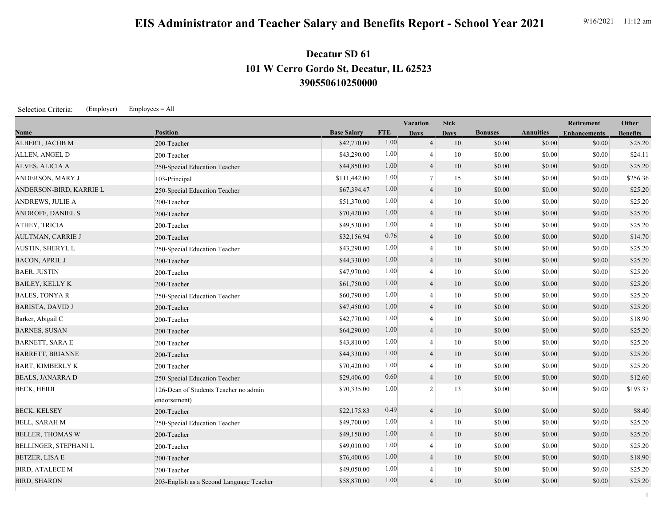## **EIS Administrator and Teacher Salary and Benefits Report - School Year 2021** 9/16/2021 11:12 am

## **390550610250000 101 W Cerro Gordo St, Decatur, IL 62523 Decatur SD 61**

Selection Criteria: (Employer) Employees = All

|                          |                                                       |                    |            | <b>Vacation</b>          | <b>Sick</b> |                |                  | Retirement          | Other           |
|--------------------------|-------------------------------------------------------|--------------------|------------|--------------------------|-------------|----------------|------------------|---------------------|-----------------|
| Name                     | <b>Position</b>                                       | <b>Base Salary</b> | <b>FTE</b> | <b>Days</b>              | <b>Days</b> | <b>Bonuses</b> | <b>Annuities</b> | <b>Enhancements</b> | <b>Benefits</b> |
| ALBERT, JACOB M          | 200-Teacher                                           | \$42,770.00        | 1.00       | $\overline{4}$           | 10          | \$0.00         | \$0.00           | \$0.00              | \$25.20         |
| ALLEN, ANGEL D           | 200-Teacher                                           | \$43,290.00        | 1.00       | $\overline{4}$           | 10          | \$0.00         | \$0.00           | \$0.00              | \$24.11         |
| ALVES, ALICIA A          | 250-Special Education Teacher                         | \$44,850.00        | 1.00       | $\overline{4}$           | 10          | \$0.00         | \$0.00           | \$0.00              | \$25.20         |
| ANDERSON, MARY J         | 103-Principal                                         | \$111,442.00       | 1.00       | $7\phantom{.0}$          | 15          | \$0.00         | \$0.00           | \$0.00              | \$256.36        |
| ANDERSON-BIRD, KARRIE L  | 250-Special Education Teacher                         | \$67,394.47        | 1.00       | $\overline{4}$           | 10          | \$0.00         | \$0.00           | \$0.00              | \$25.20         |
| ANDREWS, JULIE A         | 200-Teacher                                           | \$51,370.00        | 1.00       | $\overline{4}$           | 10          | \$0.00         | \$0.00           | \$0.00              | \$25.20         |
| ANDROFF, DANIEL S        | 200-Teacher                                           | \$70,420.00        | 1.00       | $\overline{4}$           | 10          | \$0.00         | \$0.00           | \$0.00              | \$25.20         |
| ATHEY, TRICIA            | 200-Teacher                                           | \$49,530.00        | 1.00       | $\overline{4}$           | 10          | \$0.00         | \$0.00           | \$0.00              | \$25.20         |
| <b>AULTMAN, CARRIE J</b> | 200-Teacher                                           | \$32,156.94        | 0.76       | $\overline{4}$           | 10          | \$0.00         | \$0.00           | \$0.00              | \$14.70         |
| <b>AUSTIN, SHERYL L</b>  | 250-Special Education Teacher                         | \$43,290.00        | 1.00       | $\overline{4}$           | 10          | \$0.00         | \$0.00           | \$0.00              | \$25.20         |
| <b>BACON, APRIL J</b>    | 200-Teacher                                           | \$44,330.00        | 1.00       | $\overline{4}$           | 10          | \$0.00         | \$0.00           | \$0.00              | \$25.20         |
| <b>BAER, JUSTIN</b>      | 200-Teacher                                           | \$47,970.00        | 1.00       | $\overline{4}$           | 10          | \$0.00         | \$0.00           | \$0.00              | \$25.20         |
| <b>BAILEY, KELLY K</b>   | 200-Teacher                                           | \$61,750.00        | 1.00       | $\overline{4}$           | 10          | \$0.00         | \$0.00           | \$0.00              | \$25.20         |
| <b>BALES, TONYA R</b>    | 250-Special Education Teacher                         | \$60,790.00        | 1.00       | $\overline{4}$           | 10          | \$0.00         | \$0.00           | \$0.00              | \$25.20         |
| <b>BARISTA, DAVID J</b>  | 200-Teacher                                           | \$47,450.00        | 1.00       | $\overline{4}$           | 10          | \$0.00         | \$0.00           | \$0.00              | \$25.20         |
| Barker, Abigail C        | 200-Teacher                                           | \$42,770.00        | 1.00       | $\overline{4}$           | 10          | \$0.00         | \$0.00           | \$0.00              | \$18.90         |
| <b>BARNES, SUSAN</b>     | 200-Teacher                                           | \$64,290.00        | 1.00       | $\overline{4}$           | 10          | \$0.00         | \$0.00           | \$0.00              | \$25.20         |
| <b>BARNETT, SARA E</b>   | 200-Teacher                                           | \$43,810.00        | 1.00       | 4                        | 10          | \$0.00         | \$0.00           | \$0.00              | \$25.20         |
| <b>BARRETT, BRIANNE</b>  | 200-Teacher                                           | \$44,330.00        | 1.00       | $\overline{4}$           | 10          | \$0.00         | \$0.00           | \$0.00              | \$25.20         |
| <b>BART, KIMBERLY K</b>  | 200-Teacher                                           | \$70,420.00        | 1.00       | $\overline{4}$           | 10          | \$0.00         | \$0.00           | \$0.00              | \$25.20         |
| <b>BEALS, JANARRA D</b>  | 250-Special Education Teacher                         | \$29,406.00        | 0.60       | $\overline{4}$           | 10          | \$0.00         | \$0.00           | \$0.00              | \$12.60         |
| <b>BECK, HEIDI</b>       | 126-Dean of Students Teacher no admin<br>endorsement) | \$70,335.00        | 1.00       | 2                        | 13          | \$0.00         | \$0.00           | \$0.00              | \$193.37        |
| <b>BECK, KELSEY</b>      | 200-Teacher                                           | \$22,175.83        | 0.49       | $\overline{4}$           | 10          | \$0.00         | \$0.00           | \$0.00              | \$8.40          |
| <b>BELL, SARAH M</b>     | 250-Special Education Teacher                         | \$49,700.00        | 1.00       | $\overline{4}$           | 10          | \$0.00         | \$0.00           | \$0.00              | \$25.20         |
| <b>BELLER, THOMAS W</b>  | 200-Teacher                                           | \$49,150.00        | 1.00       | $\overline{4}$           | 10          | \$0.00         | \$0.00           | \$0.00              | \$25.20         |
| BELLINGER, STEPHANI L    | 200-Teacher                                           | \$49,010.00        | 1.00       | $\overline{4}$           | 10          | \$0.00         | \$0.00           | \$0.00              | \$25.20         |
| <b>BETZER, LISA E</b>    | 200-Teacher                                           | \$76,400.06        | 1.00       | $\overline{4}$           | 10          | \$0.00         | \$0.00           | \$0.00              | \$18.90         |
| <b>BIRD, ATALECE M</b>   | 200-Teacher                                           | \$49,050.00        | 1.00       | $\overline{\mathcal{A}}$ | 10          | \$0.00         | \$0.00           | \$0.00              | \$25.20         |
| <b>BIRD, SHARON</b>      | 203-English as a Second Language Teacher              | \$58,870.00        | 1.00       | $\overline{4}$           | 10          | \$0.00         | \$0.00           | \$0.00              | \$25.20         |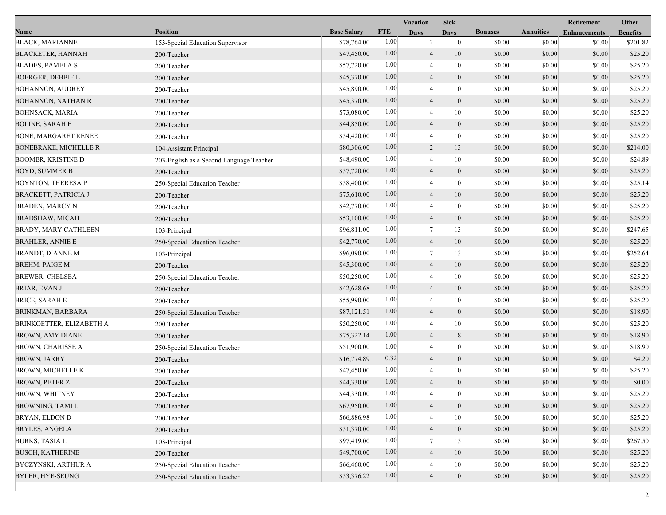|                              |                                          |                    |            | Vacation                 | <b>Sick</b>    |                |                  | Retirement          | Other           |
|------------------------------|------------------------------------------|--------------------|------------|--------------------------|----------------|----------------|------------------|---------------------|-----------------|
| Name                         | <b>Position</b>                          | <b>Base Salary</b> | <b>FTE</b> | <b>Days</b>              | <b>Davs</b>    | <b>Bonuses</b> | <b>Annuities</b> | <b>Enhancements</b> | <b>Benefits</b> |
| <b>BLACK, MARIANNE</b>       | 153-Special Education Supervisor         | \$78,764.00        | 1.00       | $\overline{c}$           | $\overline{0}$ | \$0.00         | \$0.00           | \$0.00              | \$201.82        |
| <b>BLACKETER, HANNAH</b>     | 200-Teacher                              | \$47,450.00        | 1.00       | $\overline{4}$           | 10             | \$0.00         | \$0.00           | \$0.00              | \$25.20         |
| <b>BLADES, PAMELA S</b>      | 200-Teacher                              | \$57,720.00        | 1.00       | $\overline{4}$           | 10             | \$0.00         | \$0.00           | \$0.00              | \$25.20         |
| <b>BOERGER, DEBBIE L</b>     | 200-Teacher                              | \$45,370.00        | 1.00       | $\overline{4}$           | 10             | \$0.00         | \$0.00           | \$0.00              | \$25.20         |
| <b>BOHANNON, AUDREY</b>      | 200-Teacher                              | \$45,890.00        | 1.00       | 4                        | 10             | \$0.00         | \$0.00           | \$0.00              | \$25.20         |
| <b>BOHANNON, NATHAN R</b>    | 200-Teacher                              | \$45,370.00        | 1.00       | $\overline{4}$           | 10             | \$0.00         | \$0.00           | \$0.00              | \$25.20         |
| BOHNSACK, MARIA              | 200-Teacher                              | \$73,080.00        | 1.00       | 4                        | 10             | \$0.00         | \$0.00           | \$0.00              | \$25.20         |
| <b>BOLINE, SARAH E</b>       | 200-Teacher                              | \$44,850.00        | 1.00       | $\overline{4}$           | 10             | \$0.00         | \$0.00           | \$0.00              | \$25.20         |
| <b>BONE, MARGARET RENEE</b>  | 200-Teacher                              | \$54,420.00        | 1.00       | $\overline{4}$           | 10             | \$0.00         | \$0.00           | \$0.00              | \$25.20         |
| <b>BONEBRAKE, MICHELLE R</b> | 104-Assistant Principal                  | \$80,306.00        | 1.00       | $\overline{2}$           | 13             | \$0.00         | \$0.00           | \$0.00              | \$214.00        |
| <b>BOOMER, KRISTINE D</b>    | 203-English as a Second Language Teacher | \$48,490.00        | 1.00       | 4                        | 10             | \$0.00         | \$0.00           | \$0.00              | \$24.89         |
| <b>BOYD, SUMMER B</b>        | 200-Teacher                              | \$57,720.00        | 1.00       | $\overline{4}$           | 10             | \$0.00         | \$0.00           | \$0.00              | \$25.20         |
| <b>BOYNTON, THERESA P</b>    | 250-Special Education Teacher            | \$58,400.00        | 1.00       | 4                        | 10             | \$0.00         | \$0.00           | \$0.00              | \$25.14         |
| BRACKETT, PATRICIA J         | 200-Teacher                              | \$75,610.00        | 1.00       | 4                        | 10             | \$0.00         | \$0.00           | \$0.00              | \$25.20         |
| BRADEN, MARCY N              | 200-Teacher                              | \$42,770.00        | 1.00       | $\overline{4}$           | 10             | \$0.00         | \$0.00           | \$0.00              | \$25.20         |
| BRADSHAW, MICAH              | 200-Teacher                              | \$53,100.00        | 1.00       | $\overline{4}$           | 10             | \$0.00         | \$0.00           | \$0.00              | \$25.20         |
| <b>BRADY, MARY CATHLEEN</b>  | 103-Principal                            | \$96,811.00        | 1.00       | 7                        | 13             | \$0.00         | \$0.00           | \$0.00              | \$247.65        |
| <b>BRAHLER, ANNIE E</b>      | 250-Special Education Teacher            | \$42,770.00        | 1.00       | $\overline{4}$           | 10             | \$0.00         | \$0.00           | \$0.00              | \$25.20         |
| BRANDT, DIANNE M             | 103-Principal                            | \$96,090.00        | 1.00       | $\tau$                   | 13             | \$0.00         | \$0.00           | \$0.00              | \$252.64        |
| <b>BREHM, PAIGE M</b>        | 200-Teacher                              | \$45,300.00        | 1.00       | $\overline{4}$           | 10             | \$0.00         | \$0.00           | \$0.00              | \$25.20         |
| <b>BREWER, CHELSEA</b>       | 250-Special Education Teacher            | \$50,250.00        | 1.00       | 4                        | 10             | \$0.00         | \$0.00           | \$0.00              | \$25.20         |
| BRIAR, EVAN J                | 200-Teacher                              | \$42,628.68        | 1.00       | 4                        | 10             | \$0.00         | \$0.00           | \$0.00              | \$25.20         |
| <b>BRICE, SARAH E</b>        | 200-Teacher                              | \$55,990.00        | 1.00       | 4                        | 10             | \$0.00         | \$0.00           | \$0.00              | \$25.20         |
| BRINKMAN, BARBARA            | 250-Special Education Teacher            | \$87,121.51        | 1.00       | $\overline{\mathcal{L}}$ | $\mathbf{0}$   | \$0.00         | \$0.00           | \$0.00              | \$18.90         |
| BRINKOETTER, ELIZABETH A     | 200-Teacher                              | \$50,250.00        | 1.00       | 4                        | 10             | \$0.00         | \$0.00           | \$0.00              | \$25.20         |
| BROWN, AMY DIANE             | 200-Teacher                              | \$75,322.14        | 1.00       | 4                        | $8\phantom{1}$ | \$0.00         | \$0.00           | \$0.00              | \$18.90         |
| <b>BROWN, CHARISSE A</b>     | 250-Special Education Teacher            | \$51,900.00        | 1.00       | 4                        | 10             | \$0.00         | \$0.00           | \$0.00              | \$18.90         |
| <b>BROWN, JARRY</b>          | 200-Teacher                              | \$16,774.89        | 0.32       | 4                        | 10             | \$0.00         | \$0.00           | \$0.00              | \$4.20          |
| <b>BROWN, MICHELLE K</b>     | 200-Teacher                              | \$47,450.00        | 1.00       | 4                        | 10             | \$0.00         | \$0.00           | \$0.00              | \$25.20         |
| <b>BROWN, PETER Z</b>        | 200-Teacher                              | \$44,330.00        | 1.00       | $\overline{4}$           | 10             | \$0.00         | \$0.00           | \$0.00              | \$0.00          |
| <b>BROWN, WHITNEY</b>        | 200-Teacher                              | \$44,330.00        | 1.00       | 4                        | 10             | \$0.00         | \$0.00           | \$0.00              | \$25.20         |
| BROWNING, TAMI L             | 200-Teacher                              | \$67,950.00        | 1.00       | 4                        | 10             | \$0.00         | \$0.00           | \$0.00              | \$25.20         |
| BRYAN, ELDON D               | 200-Teacher                              | \$66,886.98        | 1.00       |                          | 10             | \$0.00         | \$0.00           | \$0.00              | \$25.20         |
| <b>BRYLES, ANGELA</b>        | 200-Teacher                              | \$51,370.00        | 1.00       | 4                        | 10             | \$0.00         | \$0.00           | \$0.00              | \$25.20         |
| <b>BURKS, TASIA L</b>        | 103-Principal                            | \$97,419.00        | 1.00       | 7                        | 15             | \$0.00         | \$0.00           | \$0.00              | \$267.50        |
| <b>BUSCH, KATHERINE</b>      | 200-Teacher                              | \$49,700.00        | 1.00       | $\overline{4}$           | 10             | \$0.00         | \$0.00           | \$0.00              | \$25.20         |
| BYCZYNSKI, ARTHUR A          | 250-Special Education Teacher            | \$66,460.00        | 1.00       | 4                        | 10             | \$0.00         | \$0.00           | \$0.00              | \$25.20         |
| <b>BYLER, HYE-SEUNG</b>      | 250-Special Education Teacher            | \$53,376.22        | 1.00       | $\overline{4}$           | 10             | \$0.00         | \$0.00           | \$0.00              | \$25.20         |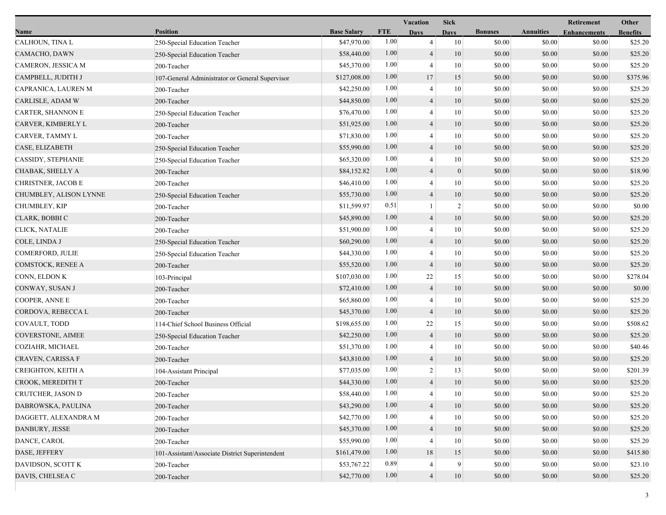|                          |                                                 |                    |            | Vacation       | <b>Sick</b>    |                |                  | Retirement          | Other           |
|--------------------------|-------------------------------------------------|--------------------|------------|----------------|----------------|----------------|------------------|---------------------|-----------------|
| Name                     | <b>Position</b>                                 | <b>Base Salary</b> | <b>FTE</b> | <b>Days</b>    | Davs           | <b>Bonuses</b> | <b>Annuities</b> | <b>Enhancements</b> | <b>Benefits</b> |
| CALHOUN, TINA L          | 250-Special Education Teacher                   | \$47,970.00        | 1.00       | 4              | 10             | \$0.00         | \$0.00           | \$0.00              | \$25.20         |
| CAMACHO, DAWN            | 250-Special Education Teacher                   | \$58,440.00        | 1.00       | $\overline{4}$ | 10             | \$0.00         | \$0.00           | \$0.00              | \$25.20         |
| CAMERON, JESSICA M       | 200-Teacher                                     | \$45,370.00        | 1.00       | $\overline{4}$ | 10             | \$0.00         | \$0.00           | \$0.00              | \$25.20         |
| CAMPBELL, JUDITH J       | 107-General Administrator or General Supervisor | \$127,008.00       | 1.00       | 17             | 15             | \$0.00         | \$0.00           | \$0.00              | \$375.96        |
| CAPRANICA, LAUREN M      | 200-Teacher                                     | \$42,250.00        | 1.00       | 4              | 10             | \$0.00         | \$0.00           | \$0.00              | \$25.20         |
| CARLISLE, ADAM W         | 200-Teacher                                     | \$44,850.00        | 1.00       | $\overline{4}$ | 10             | \$0.00         | \$0.00           | \$0.00              | \$25.20         |
| <b>CARTER, SHANNON E</b> | 250-Special Education Teacher                   | \$76,470.00        | 1.00       | $\overline{4}$ | 10             | \$0.00         | \$0.00           | \$0.00              | \$25.20         |
| CARVER, KIMBERLY L       | 200-Teacher                                     | \$51,925.00        | 1.00       | $\overline{4}$ | 10             | \$0.00         | \$0.00           | \$0.00              | \$25.20         |
| CARVER, TAMMY L          | 200-Teacher                                     | \$71,830.00        | 1.00       | $\overline{4}$ | 10             | \$0.00         | \$0.00           | \$0.00              | \$25.20         |
| CASE, ELIZABETH          | 250-Special Education Teacher                   | \$55,990.00        | 1.00       | $\overline{4}$ | 10             | \$0.00         | \$0.00           | \$0.00              | \$25.20         |
| CASSIDY, STEPHANIE       | 250-Special Education Teacher                   | \$65,320.00        | 1.00       | $\overline{4}$ | 10             | \$0.00         | \$0.00           | \$0.00              | \$25.20         |
| CHABAK, SHELLY A         | 200-Teacher                                     | \$84,152.82        | 1.00       | $\overline{4}$ | $\mathbf{0}$   | \$0.00         | \$0.00           | \$0.00              | \$18.90         |
| CHRISTNER, JACOB E       | 200-Teacher                                     | \$46,410.00        | 1.00       | 4              | 10             | \$0.00         | \$0.00           | \$0.00              | \$25.20         |
| CHUMBLEY, ALISON LYNNE   | 250-Special Education Teacher                   | \$55,730.00        | 1.00       | $\overline{4}$ | 10             | \$0.00         | \$0.00           | \$0.00              | \$25.20         |
| CHUMBLEY, KIP            | 200-Teacher                                     | \$11,599.97        | 0.51       |                | $\overline{2}$ | \$0.00         | \$0.00           | \$0.00              | \$0.00          |
| CLARK, BOBBI C           | 200-Teacher                                     | \$45,890.00        | 1.00       | $\overline{4}$ | 10             | \$0.00         | \$0.00           | \$0.00              | \$25.20         |
| CLICK, NATALIE           | 200-Teacher                                     | \$51,900.00        | 1.00       | $\overline{4}$ | 10             | \$0.00         | \$0.00           | \$0.00              | \$25.20         |
| COLE, LINDA J            | 250-Special Education Teacher                   | \$60,290.00        | 1.00       | $\overline{4}$ | 10             | \$0.00         | \$0.00           | \$0.00              | \$25.20         |
| COMERFORD, JULIE         | 250-Special Education Teacher                   | \$44,330.00        | 1.00       | 4              | 10             | \$0.00         | \$0.00           | \$0.00              | \$25.20         |
| COMSTOCK, RENEE A        | 200-Teacher                                     | \$55,520.00        | 1.00       | $\overline{4}$ | 10             | \$0.00         | \$0.00           | \$0.00              | \$25.20         |
| CONN, ELDON K            | 103-Principal                                   | \$107,030.00       | 1.00       | 22             | 15             | \$0.00         | \$0.00           | \$0.00              | \$278.04        |
| CONWAY, SUSAN J          | 200-Teacher                                     | \$72,410.00        | 1.00       | 4              | 10             | \$0.00         | \$0.00           | \$0.00              | \$0.00          |
| COOPER, ANNE E           | 200-Teacher                                     | \$65,860.00        | 1.00       | $\overline{4}$ | 10             | \$0.00         | \$0.00           | \$0.00              | \$25.20         |
| CORDOVA, REBECCA L       | 200-Teacher                                     | \$45,370.00        | 1.00       | $\overline{4}$ | 10             | \$0.00         | \$0.00           | \$0.00              | \$25.20         |
| COVAULT, TODD            | 114-Chief School Business Official              | \$198,655.00       | 1.00       | 22             | 15             | \$0.00         | \$0.00           | \$0.00              | \$508.62        |
| COVERSTONE, AIMEE        | 250-Special Education Teacher                   | \$42,250.00        | 1.00       | $\overline{4}$ | 10             | \$0.00         | \$0.00           | \$0.00              | \$25.20         |
| COZIAHR, MICHAEL         | 200-Teacher                                     | \$51,370.00        | 1.00       | $\overline{4}$ | 10             | \$0.00         | \$0.00           | \$0.00              | \$40.46         |
| CRAVEN, CARISSA F        | 200-Teacher                                     | \$43,810.00        | 1.00       | $\overline{4}$ | 10             | \$0.00         | \$0.00           | \$0.00              | \$25.20         |
| CREIGHTON, KEITH A       | 104-Assistant Principal                         | \$77,035.00        | 1.00       | $\overline{c}$ | 13             | \$0.00         | \$0.00           | \$0.00              | \$201.39        |
| CROOK, MEREDITH T        | 200-Teacher                                     | \$44,330.00        | 1.00       | $\overline{4}$ | 10             | \$0.00         | \$0.00           | \$0.00              | \$25.20         |
| CRUTCHER, JASON D        | 200-Teacher                                     | \$58,440.00        | 1.00       | 4              | 10             | \$0.00         | \$0.00           | \$0.00              | \$25.20         |
| DABROWSKA, PAULINA       | 200-Teacher                                     | \$43,290.00        | 1.00       | $\overline{4}$ | 10             | \$0.00         | \$0.00           | \$0.00              | \$25.20         |
| DAGGETT, ALEXANDRA M     | 200-Teacher                                     | \$42,770.00        | 1.00       |                | 10             | \$0.00         | \$0.00           | \$0.00              | \$25.20         |
| DANBURY, JESSE           | 200-Teacher                                     | \$45,370.00        | 1.00       | $\overline{4}$ | 10             | \$0.00         | \$0.00           | \$0.00              | \$25.20         |
| DANCE, CAROL             | 200-Teacher                                     | \$55,990.00        | 1.00       | 4              | 10             | \$0.00         | \$0.00           | \$0.00              | \$25.20         |
| DASE, JEFFERY            | 101-Assistant/Associate District Superintendent | \$161,479.00       | 1.00       | 18             | 15             | \$0.00         | \$0.00           | \$0.00              | \$415.80        |
| DAVIDSON, SCOTT K        | 200-Teacher                                     | \$53,767.22        | 0.89       | 4              | 9              | \$0.00         | \$0.00           | \$0.00              | \$23.10         |
| DAVIS, CHELSEA C         | 200-Teacher                                     | \$42,770.00        | 1.00       | $\overline{4}$ | 10             | \$0.00         | \$0.00           | \$0.00              | \$25.20         |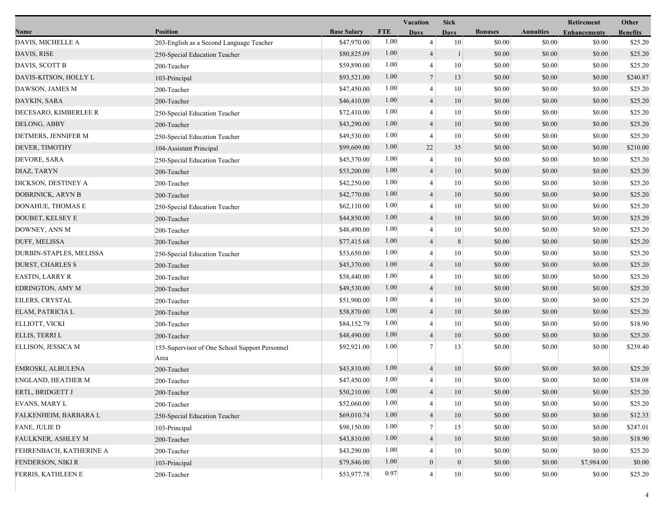|                         |                                                        |                    | Vacation   |                  | <b>Sick</b>  |                |                  | Retirement          | Other           |
|-------------------------|--------------------------------------------------------|--------------------|------------|------------------|--------------|----------------|------------------|---------------------|-----------------|
| Name                    | <b>Position</b>                                        | <b>Base Salary</b> | <b>FTE</b> | <b>Days</b>      | <b>Days</b>  | <b>Bonuses</b> | <b>Annuities</b> | <b>Enhancements</b> | <b>Benefits</b> |
| DAVIS, MICHELLE A       | 203-English as a Second Language Teacher               | \$47,970.00        | 1.00       | $\overline{4}$   | 10           | \$0.00         | \$0.00           | \$0.00              | \$25.20         |
| DAVIS, RISE             | 250-Special Education Teacher                          | \$80,825.09        | 1.00       | $\overline{4}$   | $\mathbf{1}$ | \$0.00         | \$0.00           | \$0.00              | \$25.20         |
| DAVIS, SCOTT B          | 200-Teacher                                            | \$59,890.00        | 1.00       | $\overline{4}$   | 10           | \$0.00         | \$0.00           | \$0.00              | \$25.20         |
| DAVIS-KITSON, HOLLY L   | 103-Principal                                          | \$93,521.00        | 1.00       | $\overline{7}$   | 13           | \$0.00         | \$0.00           | \$0.00              | \$240.87        |
| DAWSON, JAMES M         | 200-Teacher                                            | \$47,450.00        | 1.00       | 4                | 10           | \$0.00         | \$0.00           | \$0.00              | \$25.20         |
| DAYKIN, SARA            | 200-Teacher                                            | \$46,410.00        | 1.00       | $\overline{4}$   | 10           | \$0.00         | \$0.00           | \$0.00              | \$25.20         |
| DECESARO, KIMBERLEE R   | 250-Special Education Teacher                          | \$72,410.00        | 1.00       | $\overline{4}$   | 10           | \$0.00         | \$0.00           | \$0.00              | \$25.20         |
| DELONG, ABBY            | 200-Teacher                                            | \$43,290.00        | 1.00       | $\overline{4}$   | 10           | \$0.00         | \$0.00           | \$0.00              | \$25.20         |
| DETMERS, JENNIFER M     | 250-Special Education Teacher                          | \$49,530.00        | 1.00       | $\overline{4}$   | 10           | \$0.00         | \$0.00           | \$0.00              | \$25.20         |
| DEVER, TIMOTHY          | 104-Assistant Principal                                | \$99,609.00        | 1.00       | 22               | 35           | \$0.00         | \$0.00           | \$0.00              | \$210.00        |
| DEVORE, SARA            | 250-Special Education Teacher                          | \$45,370.00        | 1.00       | 4                | 10           | \$0.00         | \$0.00           | \$0.00              | \$25.20         |
| DIAZ, TARYN             | 200-Teacher                                            | \$53,200.00        | 1.00       | $\overline{4}$   | 10           | \$0.00         | \$0.00           | \$0.00              | \$25.20         |
| DICKSON, DESTINEY A     | 200-Teacher                                            | \$42,250.00        | 1.00       | 4                | 10           | \$0.00         | \$0.00           | \$0.00              | \$25.20         |
| DOBRINICK, ARYN B       | 200-Teacher                                            | \$42,770.00        | 1.00       | $\overline{4}$   | 10           | \$0.00         | \$0.00           | \$0.00              | \$25.20         |
| DONAHUE, THOMAS E       | 250-Special Education Teacher                          | \$62,110.00        | 1.00       | 4                | 10           | \$0.00         | \$0.00           | \$0.00              | \$25.20         |
| DOUBET, KELSEY E        | 200-Teacher                                            | \$44,850.00        | 1.00       | $\overline{4}$   | 10           | \$0.00         | \$0.00           | \$0.00              | \$25.20         |
| DOWNEY, ANN M           | 200-Teacher                                            | \$48,490.00        | 1.00       | 4                | 10           | \$0.00         | \$0.00           | \$0.00              | \$25.20         |
| DUFF, MELISSA           | 200-Teacher                                            | \$77,415.68        | 1.00       | $\overline{4}$   | 8            | \$0.00         | \$0.00           | \$0.00              | \$25.20         |
| DURBIN-STAPLES, MELISSA | 250-Special Education Teacher                          | \$53,650.00        | 1.00       | 4                | 10           | \$0.00         | \$0.00           | \$0.00              | \$25.20         |
| <b>DURST, CHARLES S</b> | 200-Teacher                                            | \$45,370.00        | 1.00       | $\overline{4}$   | 10           | \$0.00         | \$0.00           | \$0.00              | \$25.20         |
| <b>EASTIN, LARRY R</b>  | 200-Teacher                                            | \$58,440.00        | 1.00       | 4                | 10           | \$0.00         | \$0.00           | \$0.00              | \$25.20         |
| EDRINGTON, AMY M        | 200-Teacher                                            | \$49,530.00        | 1.00       | $\overline{4}$   | 10           | \$0.00         | \$0.00           | \$0.00              | \$25.20         |
| EILERS, CRYSTAL         | 200-Teacher                                            | \$51,900.00        | 1.00       | 4                | 10           | \$0.00         | \$0.00           | \$0.00              | \$25.20         |
| ELAM, PATRICIA L        | 200-Teacher                                            | \$58,870.00        | 1.00       | $\overline{4}$   | 10           | \$0.00         | \$0.00           | \$0.00              | \$25.20         |
| ELLIOTT, VICKI          | 200-Teacher                                            | \$84,152.79        | 1.00       | 4                | 10           | \$0.00         | \$0.00           | \$0.00              | \$18.90         |
| ELLIS, TERRI L          | 200-Teacher                                            | \$48,490.00        | 1.00       | $\overline{4}$   | 10           | \$0.00         | \$0.00           | \$0.00              | \$25.20         |
| ELLISON, JESSICA M      | 155-Supervisor of One School Support Personnel<br>Area | \$92,921.00        | 1.00       | $\tau$           | 13           | \$0.00         | \$0.00           | \$0.00              | \$239.40        |
| EMROSKI, ALBULENA       | 200-Teacher                                            | \$43,810.00        | 1.00       | $\overline{4}$   | 10           | \$0.00         | \$0.00           | \$0.00              | \$25.20         |
| ENGLAND, HEATHER M      | 200-Teacher                                            | \$47,450.00        | 1.00       | $\overline{4}$   | 10           | \$0.00         | \$0.00           | \$0.00              | \$38.08         |
| ERTL, BRIDGETT J        | 200-Teacher                                            | \$50,210.00        | 1.00       | $\Delta$         | 10           | \$0.00         | \$0.00           | \$0.00              | \$25.20         |
| <b>EVANS, MARY L</b>    | 200-Teacher                                            | \$52,060.00        | 1.00       | $\overline{4}$   | 10           | \$0.00         | \$0.00           | \$0.00              | \$25.20         |
| FALKENHEIM, BARBARA L   | 250-Special Education Teacher                          | \$69,010.74        | 1.00       | $\overline{4}$   | 10           | \$0.00         | \$0.00           | \$0.00              | \$12.33         |
| FANE, JULIE D           | 103-Principal                                          | \$98,150.00        | 1.00       | 7                | 15           | \$0.00         | \$0.00           | \$0.00              | \$247.01        |
| FAULKNER, ASHLEY M      | 200-Teacher                                            | \$43,810.00        | 1.00       | 4                | 10           | \$0.00         | \$0.00           | \$0.00              | \$18.90         |
| FEHRENBACH, KATHERINE A | 200-Teacher                                            | \$43,290.00        | 1.00       | 4                | 10           | \$0.00         | \$0.00           | \$0.00              | \$25.20         |
| FENDERSON, NIKI R       | 103-Principal                                          | \$79,846.00        | 1.00       | $\boldsymbol{0}$ | $\mathbf{0}$ | \$0.00         | \$0.00           | \$7,984.00          | \$0.00          |
| FERRIS, KATHLEEN E      | 200-Teacher                                            | \$53,977.78        | 0.97       | 4                | $10\,$       | \$0.00         | \$0.00           | \$0.00              | \$25.20         |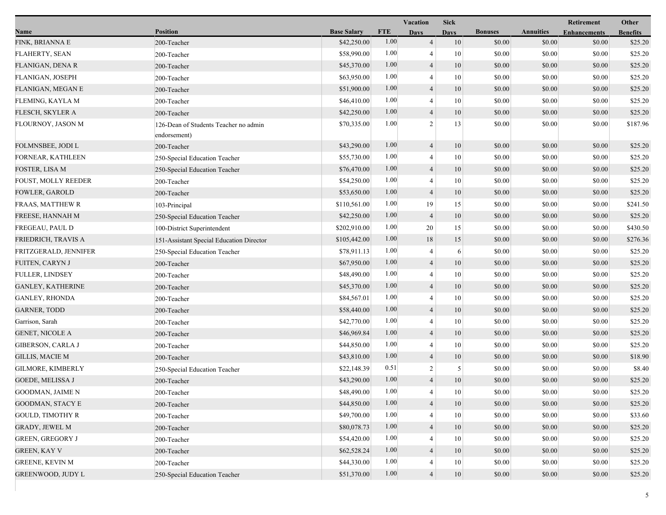|                          |                                                       |                    |            | Vacation       | <b>Sick</b> |                |                  | Retirement          | Other           |
|--------------------------|-------------------------------------------------------|--------------------|------------|----------------|-------------|----------------|------------------|---------------------|-----------------|
| Name                     | <b>Position</b>                                       | <b>Base Salary</b> | <b>FTE</b> | <b>Days</b>    | <b>Davs</b> | <b>Bonuses</b> | <b>Annuities</b> | <b>Enhancements</b> | <b>Benefits</b> |
| FINK, BRIANNA E          | 200-Teacher                                           | \$42,250.00        | 1.00       | $\overline{4}$ | 10          | \$0.00         | \$0.00           | \$0.00              | \$25.20         |
| FLAHERTY, SEAN           | 200-Teacher                                           | \$58,990.00        | 1.00       | 4              | 10          | \$0.00         | \$0.00           | \$0.00              | \$25.20         |
| FLANIGAN, DENA R         | 200-Teacher                                           | \$45,370.00        | 1.00       | $\overline{4}$ | 10          | \$0.00         | \$0.00           | \$0.00              | \$25.20         |
| FLANIGAN, JOSEPH         | 200-Teacher                                           | \$63,950.00        | 1.00       | 4              | 10          | \$0.00         | \$0.00           | \$0.00              | \$25.20         |
| FLANIGAN, MEGAN E        | 200-Teacher                                           | \$51,900.00        | 1.00       | $\overline{4}$ | 10          | \$0.00         | \$0.00           | \$0.00              | \$25.20         |
| FLEMING, KAYLA M         | 200-Teacher                                           | \$46,410.00        | 1.00       | 4              | 10          | \$0.00         | \$0.00           | \$0.00              | \$25.20         |
| FLESCH, SKYLER A         | 200-Teacher                                           | \$42,250.00        | 1.00       | $\overline{4}$ | 10          | \$0.00         | \$0.00           | \$0.00              | \$25.20         |
| FLOURNOY, JASON M        | 126-Dean of Students Teacher no admin<br>endorsement) | \$70,335.00        | 1.00       | $\overline{2}$ | 13          | \$0.00         | \$0.00           | \$0.00              | \$187.96        |
| FOLMNSBEE, JODI L        | 200-Teacher                                           | \$43,290.00        | 1.00       | $\overline{4}$ | 10          | \$0.00         | \$0.00           | \$0.00              | \$25.20         |
| FORNEAR, KATHLEEN        | 250-Special Education Teacher                         | \$55,730.00        | 1.00       | 4              | 10          | \$0.00         | \$0.00           | \$0.00              | \$25.20         |
| FOSTER, LISA M           | 250-Special Education Teacher                         | \$76,470.00        | 1.00       | 4              | 10          | \$0.00         | \$0.00           | \$0.00              | \$25.20         |
| FOUST, MOLLY REEDER      | 200-Teacher                                           | \$54,250.00        | 1.00       | 4              | 10          | \$0.00         | \$0.00           | \$0.00              | \$25.20         |
| FOWLER, GAROLD           | 200-Teacher                                           | \$53,650.00        | 1.00       | 4              | 10          | \$0.00         | \$0.00           | \$0.00              | \$25.20         |
| FRAAS, MATTHEW R         | 103-Principal                                         | \$110,561.00       | 1.00       | 19             | 15          | \$0.00         | \$0.00           | \$0.00              | \$241.50        |
| FREESE, HANNAH M         | 250-Special Education Teacher                         | \$42,250.00        | 1.00       | $\overline{4}$ | 10          | \$0.00         | \$0.00           | \$0.00              | \$25.20         |
| FREGEAU, PAUL D          | 100-District Superintendent                           | \$202,910.00       | 1.00       | 20             | 15          | \$0.00         | \$0.00           | \$0.00              | \$430.50        |
| FRIEDRICH, TRAVIS A      | 151-Assistant Special Education Director              | \$105,442.00       | 1.00       | 18             | 15          | \$0.00         | \$0.00           | \$0.00              | \$276.36        |
| FRITZGERALD, JENNIFER    | 250-Special Education Teacher                         | \$78,911.13        | 1.00       | 4              | 6           | \$0.00         | \$0.00           | \$0.00              | \$25.20         |
| FUITEN, CARYN J          | 200-Teacher                                           | \$67,950.00        | 1.00       | 4              | 10          | \$0.00         | \$0.00           | \$0.00              | \$25.20         |
| <b>FULLER, LINDSEY</b>   | 200-Teacher                                           | \$48,490.00        | 1.00       | $\overline{4}$ | 10          | \$0.00         | \$0.00           | \$0.00              | \$25.20         |
| <b>GANLEY, KATHERINE</b> | 200-Teacher                                           | \$45,370.00        | 1.00       | $\overline{4}$ | 10          | \$0.00         | \$0.00           | \$0.00              | \$25.20         |
| <b>GANLEY, RHONDA</b>    | 200-Teacher                                           | \$84,567.01        | 1.00       | 4              | 10          | \$0.00         | \$0.00           | \$0.00              | \$25.20         |
| <b>GARNER, TODD</b>      | 200-Teacher                                           | \$58,440.00        | 1.00       | 4              | 10          | \$0.00         | \$0.00           | \$0.00              | \$25.20         |
| Garrison, Sarah          | 200-Teacher                                           | \$42,770.00        | 1.00       | 4              | 10          | \$0.00         | \$0.00           | \$0.00              | \$25.20         |
| <b>GENET, NICOLE A</b>   | 200-Teacher                                           | \$46,969.84        | 1.00       | 4              | 10          | \$0.00         | \$0.00           | \$0.00              | \$25.20         |
| <b>GIBERSON, CARLA J</b> | 200-Teacher                                           | \$44,850.00        | 1.00       | 4              | 10          | \$0.00         | \$0.00           | \$0.00              | \$25.20         |
| <b>GILLIS, MACIE M</b>   | 200-Teacher                                           | \$43,810.00        | 1.00       | $\overline{4}$ | 10          | \$0.00         | \$0.00           | \$0.00              | \$18.90         |
| GILMORE, KIMBERLY        | 250-Special Education Teacher                         | \$22,148.39        | 0.51       | $\overline{2}$ | 5           | \$0.00         | \$0.00           | \$0.00              | \$8.40          |
| GOEDE, MELISSA J         | 200-Teacher                                           | \$43,290.00        | 1.00       | $\overline{4}$ | 10          | \$0.00         | \$0.00           | \$0.00              | \$25.20         |
| <b>GOODMAN, JAIME N</b>  | 200-Teacher                                           | \$48,490.00        | 1.00       |                | 10          | $\$0.00$       | $\$0.00$         | $\$0.00$            | \$25.20         |
| GOODMAN, STACY E         | 200-Teacher                                           | \$44,850.00        | 1.00       | 4              | 10          | \$0.00         | \$0.00           | \$0.00              | \$25.20         |
| <b>GOULD, TIMOTHY R</b>  | 200-Teacher                                           | \$49,700.00        | 1.00       | 4              | 10          | \$0.00         | \$0.00           | \$0.00              | \$33.60         |
| <b>GRADY, JEWEL M</b>    | 200-Teacher                                           | \$80,078.73        | 1.00       | 4              | 10          | \$0.00         | \$0.00           | \$0.00              | \$25.20         |
| <b>GREEN, GREGORY J</b>  | 200-Teacher                                           | \$54,420.00        | 1.00       |                | 10          | \$0.00         | \$0.00           | \$0.00              | \$25.20         |
| <b>GREEN, KAY V</b>      | 200-Teacher                                           | \$62,528.24        | 1.00       | 4              | 10          | \$0.00         | \$0.00           | \$0.00              | \$25.20         |
| <b>GREENE, KEVIN M</b>   | 200-Teacher                                           | \$44,330.00        | 1.00       |                | 10          | \$0.00         | \$0.00           | \$0.00              | \$25.20         |
| <b>GREENWOOD, JUDY L</b> | 250-Special Education Teacher                         | \$51,370.00        | 1.00       | $\overline{4}$ | $10\,$      | \$0.00         | \$0.00           | \$0.00              | \$25.20         |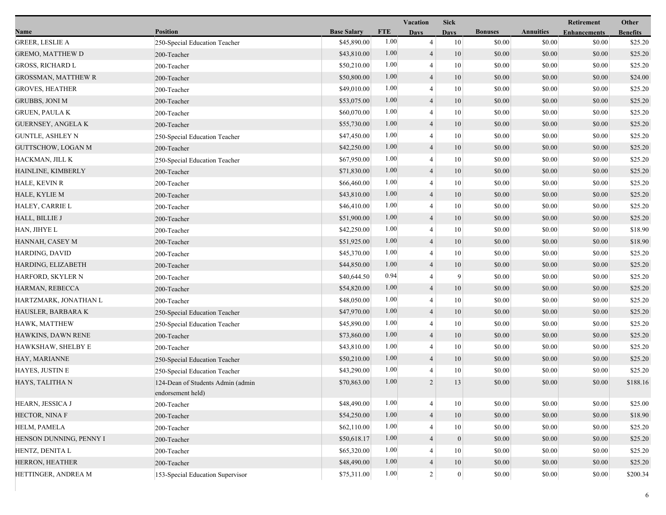|                            |                                                        |                    |            | Vacation       | <b>Sick</b>      |                |                  | Retirement          | Other           |
|----------------------------|--------------------------------------------------------|--------------------|------------|----------------|------------------|----------------|------------------|---------------------|-----------------|
| Name                       | <b>Position</b>                                        | <b>Base Salary</b> | <b>FTE</b> | <b>Days</b>    | <b>Days</b>      | <b>Bonuses</b> | <b>Annuities</b> | <b>Enhancements</b> | <b>Benefits</b> |
| <b>GREER, LESLIE A</b>     | 250-Special Education Teacher                          | \$45,890.00        | 1.00       | $\overline{4}$ | 10               | \$0.00         | \$0.00           | \$0.00              | \$25.20         |
| <b>GREMO, MATTHEW D</b>    | 200-Teacher                                            | \$43,810.00        | 1.00       | $\overline{4}$ | 10               | \$0.00         | \$0.00           | \$0.00              | \$25.20         |
| <b>GROSS, RICHARD L</b>    | 200-Teacher                                            | \$50,210.00        | 1.00       | $\overline{4}$ | 10               | \$0.00         | \$0.00           | \$0.00              | \$25.20         |
| <b>GROSSMAN, MATTHEW R</b> | 200-Teacher                                            | \$50,800.00        | 1.00       | $\overline{4}$ | 10               | \$0.00         | \$0.00           | \$0.00              | \$24.00         |
| <b>GROVES, HEATHER</b>     | 200-Teacher                                            | \$49,010.00        | 1.00       | 4              | 10               | \$0.00         | \$0.00           | \$0.00              | \$25.20         |
| <b>GRUBBS, JONI M</b>      | 200-Teacher                                            | \$53,075.00        | 1.00       | $\overline{4}$ | 10               | \$0.00         | \$0.00           | \$0.00              | \$25.20         |
| <b>GRUEN, PAULA K</b>      | 200-Teacher                                            | \$60,070.00        | 1.00       | $\overline{4}$ | 10               | \$0.00         | \$0.00           | \$0.00              | \$25.20         |
| <b>GUERNSEY, ANGELA K</b>  | 200-Teacher                                            | \$55,730.00        | 1.00       | $\overline{4}$ | 10               | \$0.00         | \$0.00           | \$0.00              | \$25.20         |
| <b>GUNTLE, ASHLEY N</b>    | 250-Special Education Teacher                          | \$47,450.00        | 1.00       | 4              | 10               | \$0.00         | \$0.00           | \$0.00              | \$25.20         |
| <b>GUTTSCHOW, LOGAN M</b>  | 200-Teacher                                            | \$42,250.00        | 1.00       | $\overline{4}$ | 10               | \$0.00         | \$0.00           | \$0.00              | \$25.20         |
| HACKMAN, JILL K            | 250-Special Education Teacher                          | \$67,950.00        | 1.00       | 4              | 10               | \$0.00         | \$0.00           | \$0.00              | \$25.20         |
| HAINLINE, KIMBERLY         | 200-Teacher                                            | \$71,830.00        | 1.00       | $\overline{4}$ | 10               | \$0.00         | \$0.00           | \$0.00              | \$25.20         |
| HALE, KEVIN R              | 200-Teacher                                            | \$66,460.00        | 1.00       | $\overline{4}$ | 10               | \$0.00         | \$0.00           | \$0.00              | \$25.20         |
| HALE, KYLIE M              | 200-Teacher                                            | \$43,810.00        | 1.00       | $\overline{4}$ | 10               | \$0.00         | \$0.00           | \$0.00              | \$25.20         |
| HALEY, CARRIE L            | 200-Teacher                                            | \$46,410.00        | 1.00       | 4              | 10               | \$0.00         | \$0.00           | \$0.00              | \$25.20         |
| HALL, BILLIE J             | 200-Teacher                                            | \$51,900.00        | 1.00       | $\overline{4}$ | 10               | \$0.00         | \$0.00           | \$0.00              | \$25.20         |
| HAN, JIHYE L               | 200-Teacher                                            | \$42,250.00        | 1.00       | 4              | 10               | \$0.00         | \$0.00           | \$0.00              | \$18.90         |
| HANNAH, CASEY M            | 200-Teacher                                            | \$51,925.00        | 1.00       | $\overline{4}$ | 10               | \$0.00         | \$0.00           | \$0.00              | \$18.90         |
| HARDING, DAVID             | 200-Teacher                                            | \$45,370.00        | 1.00       | 4              | 10               | \$0.00         | \$0.00           | \$0.00              | \$25.20         |
| HARDING, ELIZABETH         | 200-Teacher                                            | \$44,850.00        | 1.00       | $\overline{4}$ | 10               | \$0.00         | \$0.00           | \$0.00              | \$25.20         |
| HARFORD, SKYLER N          | 200-Teacher                                            | \$40,644.50        | 0.94       | 4              | 9                | \$0.00         | \$0.00           | \$0.00              | \$25.20         |
| HARMAN, REBECCA            | 200-Teacher                                            | \$54,820.00        | 1.00       | $\overline{4}$ | 10               | \$0.00         | \$0.00           | \$0.00              | \$25.20         |
| HARTZMARK, JONATHAN L      | 200-Teacher                                            | \$48,050.00        | 1.00       | 4              | 10               | \$0.00         | \$0.00           | \$0.00              | \$25.20         |
| HAUSLER, BARBARA K         | 250-Special Education Teacher                          | \$47,970.00        | 1.00       | $\overline{4}$ | 10               | \$0.00         | \$0.00           | \$0.00              | \$25.20         |
| HAWK, MATTHEW              | 250-Special Education Teacher                          | \$45,890.00        | 1.00       | 4              | 10               | \$0.00         | \$0.00           | \$0.00              | \$25.20         |
| HAWKINS, DAWN RENE         | 200-Teacher                                            | \$73,860.00        | 1.00       | $\overline{4}$ | 10               | \$0.00         | \$0.00           | \$0.00              | \$25.20         |
| HAWKSHAW, SHELBY E         | 200-Teacher                                            | \$43,810.00        | 1.00       | 4              | 10               | \$0.00         | \$0.00           | \$0.00              | \$25.20         |
| HAY, MARIANNE              | 250-Special Education Teacher                          | \$50,210.00        | 1.00       | $\overline{4}$ | 10               | \$0.00         | \$0.00           | \$0.00              | \$25.20         |
| HAYES, JUSTIN E            | 250-Special Education Teacher                          | \$43,290.00        | 1.00       | 4              | 10               | \$0.00         | \$0.00           | \$0.00              | \$25.20         |
| HAYS, TALITHA N            | 124-Dean of Students Admin (admin<br>endorsement held) | \$70,863.00        | 1.00       | 2              | 13               | \$0.00         | \$0.00           | \$0.00              | \$188.16        |
| HEARN, JESSICA J           | 200-Teacher                                            | \$48,490.00        | 1.00       | 4              | 10               | \$0.00         | \$0.00           | \$0.00              | \$25.00         |
| HECTOR, NINA F             | 200-Teacher                                            | \$54,250.00        | 1.00       | $\overline{4}$ | 10               | \$0.00         | \$0.00           | \$0.00              | \$18.90         |
| HELM, PAMELA               | 200-Teacher                                            | \$62,110.00        | 1.00       |                | 10               | \$0.00         | \$0.00           | \$0.00              | \$25.20         |
| HENSON DUNNING, PENNY I    | 200-Teacher                                            | \$50,618.17        | 1.00       | $\overline{4}$ | $\boldsymbol{0}$ | \$0.00         | \$0.00           | \$0.00              | \$25.20         |
| HENTZ, DENITA L            | 200-Teacher                                            | \$65,320.00        | 1.00       | 4              | 10               | \$0.00         | \$0.00           | \$0.00              | \$25.20         |
| HERRON, HEATHER            | 200-Teacher                                            | \$48,490.00        | 1.00       | $\overline{4}$ | 10               | \$0.00         | \$0.00           | \$0.00              | \$25.20         |
| HETTINGER, ANDREA M        | 153-Special Education Supervisor                       | \$75,311.00        | $1.00\,$   | $\overline{c}$ | $\boldsymbol{0}$ | \$0.00         | \$0.00           | \$0.00              | \$200.34        |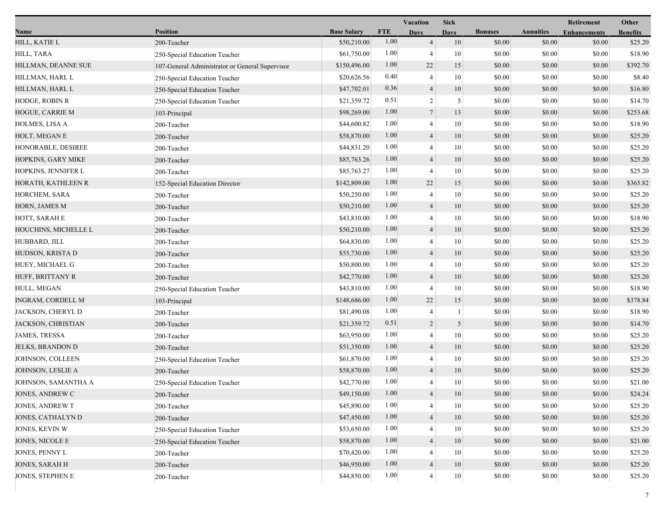|                         |                                                 |                    |            | <b>Sick</b><br>Vacation |             |                |                  | Retirement          | Other           |
|-------------------------|-------------------------------------------------|--------------------|------------|-------------------------|-------------|----------------|------------------|---------------------|-----------------|
| Name                    | <b>Position</b>                                 | <b>Base Salary</b> | <b>FTE</b> | <b>Days</b>             | <b>Days</b> | <b>Bonuses</b> | <b>Annuities</b> | <b>Enhancements</b> | <b>Benefits</b> |
| HILL, KATIE L           | 200-Teacher                                     | \$50,210.00        | 1.00       | $\overline{4}$          | 10          | \$0.00         | \$0.00           | \$0.00              | \$25.20         |
| HILL, TARA              | 250-Special Education Teacher                   | \$61,750.00        | 1.00       | $\overline{4}$          | 10          | \$0.00         | \$0.00           | \$0.00              | \$18.90         |
| HILLMAN, DEANNE SUE     | 107-General Administrator or General Supervisor | \$150,496.00       | 1.00       | 22                      | 15          | \$0.00         | \$0.00           | \$0.00              | \$392.70        |
| HILLMAN, HARL L         | 250-Special Education Teacher                   | \$20,626.56        | 0.40       | $\overline{4}$          | 10          | \$0.00         | \$0.00           | \$0.00              | \$8.40          |
| HILLMAN, HARL L         | 250-Special Education Teacher                   | \$47,702.01        | 0.36       | $\overline{4}$          | 10          | \$0.00         | \$0.00           | \$0.00              | \$16.80         |
| HODGE, ROBIN R          | 250-Special Education Teacher                   | \$21,359.72        | 0.51       | $\overline{2}$          | 5           | \$0.00         | \$0.00           | \$0.00              | \$14.70         |
| HOGUE, CARRIE M         | 103-Principal                                   | \$98,269.00        | 1.00       | $\tau$                  | 13          | \$0.00         | \$0.00           | \$0.00              | \$253.68        |
| HOLMES, LISA A          | 200-Teacher                                     | \$44,600.82        | 1.00       | $\overline{4}$          | 10          | \$0.00         | \$0.00           | \$0.00              | \$18.90         |
| HOLT, MEGAN E           | 200-Teacher                                     | \$58,870.00        | 1.00       | $\overline{4}$          | 10          | \$0.00         | \$0.00           | \$0.00              | \$25.20         |
| HONORABLE, DESIREE      | 200-Teacher                                     | \$44,831.20        | 1.00       | $\overline{4}$          | 10          | \$0.00         | \$0.00           | \$0.00              | \$25.20         |
| HOPKINS, GARY MIKE      | 200-Teacher                                     | \$85,763.26        | 1.00       | $\overline{4}$          | 10          | \$0.00         | \$0.00           | \$0.00              | \$25.20         |
| HOPKINS, JENNIFER L     | 200-Teacher                                     | \$85,763.27        | 1.00       | $\overline{4}$          | 10          | \$0.00         | \$0.00           | \$0.00              | \$25.20         |
| HORATH, KATHLEEN R      | 152-Special Education Director                  | \$142,809.00       | 1.00       | 22                      | 15          | \$0.00         | \$0.00           | \$0.00              | \$365.82        |
| HORCHEM, SARA           | 200-Teacher                                     | \$50,250.00        | 1.00       | $\overline{4}$          | 10          | \$0.00         | \$0.00           | \$0.00              | \$25.20         |
| HORN, JAMES M           | 200-Teacher                                     | \$50,210.00        | 1.00       | $\overline{4}$          | 10          | \$0.00         | \$0.00           | \$0.00              | \$25.20         |
| HOTT, SARAH E           | 200-Teacher                                     | \$43,810.00        | 1.00       | $\overline{4}$          | 10          | \$0.00         | \$0.00           | \$0.00              | \$18.90         |
| HOUCHINS, MICHELLE L    | 200-Teacher                                     | \$50,210.00        | 1.00       | $\overline{4}$          | 10          | \$0.00         | \$0.00           | \$0.00              | \$25.20         |
| HUBBARD, JILL           | 200-Teacher                                     | \$64,830.00        | 1.00       | $\overline{4}$          | 10          | \$0.00         | \$0.00           | \$0.00              | \$25.20         |
| HUDSON, KRISTA D        | 200-Teacher                                     | \$55,730.00        | 1.00       | $\overline{4}$          | 10          | \$0.00         | \$0.00           | \$0.00              | \$25.20         |
| HUEY, MICHAEL G         | 200-Teacher                                     | \$50,800.00        | 1.00       | $\overline{4}$          | 10          | \$0.00         | \$0.00           | \$0.00              | \$25.20         |
| HUFF, BRITTANY R        | 200-Teacher                                     | \$42,770.00        | 1.00       | $\overline{4}$          | 10          | \$0.00         | \$0.00           | \$0.00              | \$25.20         |
| HULL, MEGAN             | 250-Special Education Teacher                   | \$43,810.00        | 1.00       | $\overline{4}$          | 10          | \$0.00         | \$0.00           | \$0.00              | \$18.90         |
| INGRAM, CORDELL M       | 103-Principal                                   | \$148,686.00       | 1.00       | 22                      | 15          | \$0.00         | \$0.00           | \$0.00              | \$378.84        |
| JACKSON, CHERYL D       | 200-Teacher                                     | \$81,490.08        | 1.00       | $\overline{4}$          | 1           | \$0.00         | \$0.00           | \$0.00              | \$18.90         |
| JACKSON, CHRISTIAN      | 200-Teacher                                     | \$21,359.72        | 0.51       | $\overline{2}$          | 5           | \$0.00         | \$0.00           | \$0.00              | \$14.70         |
| <b>JAMES, TRESSA</b>    | 200-Teacher                                     | \$63,950.00        | 1.00       | $\overline{4}$          | 10          | \$0.00         | \$0.00           | \$0.00              | \$25.20         |
| <b>JELKS, BRANDON D</b> | 200-Teacher                                     | \$51,350.00        | 1.00       | $\overline{4}$          | 10          | \$0.00         | \$0.00           | \$0.00              | \$25.20         |
| JOHNSON, COLLEEN        | 250-Special Education Teacher                   | \$61,870.00        | 1.00       | $\overline{4}$          | 10          | \$0.00         | \$0.00           | \$0.00              | \$25.20         |
| JOHNSON, LESLIE A       | 200-Teacher                                     | \$58,870.00        | 1.00       | $\overline{4}$          | 10          | \$0.00         | \$0.00           | \$0.00              | \$25.20         |
| JOHNSON, SAMANTHA A     | 250-Special Education Teacher                   | \$42,770.00        | 1.00       | $\overline{4}$          | 10          | \$0.00         | \$0.00           | \$0.00              | \$21.00         |
| JONES, ANDREW C         | 200-Teacher                                     | \$49,150.00        | $1.00$     | 4                       | 10          | \$0.00         | \$0.00           | \$0.00              | \$24.24         |
| JONES, ANDREW T         | 200-Teacher                                     | \$45,890.00        | 1.00       | $\overline{4}$          | 10          | \$0.00         | \$0.00           | \$0.00              | \$25.20         |
| JONES, CATHALYN D       | 200-Teacher                                     | \$47,450.00        | 1.00       | $\overline{4}$          | 10          | \$0.00         | \$0.00           | \$0.00              | \$25.20         |
| JONES, KEVIN W          | 250-Special Education Teacher                   | \$53,650.00        | 1.00       | 4                       | 10          | \$0.00         | \$0.00           | \$0.00              | \$25.20         |
| JONES, NICOLE E         | 250-Special Education Teacher                   | \$58,870.00        | 1.00       | $\overline{4}$          | 10          | \$0.00         | \$0.00           | \$0.00              | \$21.00         |
| JONES, PENNY L          | 200-Teacher                                     | \$70,420.00        | 1.00       |                         | 10          | \$0.00         | \$0.00           | \$0.00              | \$25.20         |
| JONES, SARAH H          | 200-Teacher                                     | \$46,950.00        | 1.00       | $\overline{4}$          | $10\,$      | \$0.00         | \$0.00           | \$0.00              | \$25.20         |
| JONES, STEPHEN E        | 200-Teacher                                     | \$44,850.00        | 1.00       | $\overline{4}$          | $10\,$      | \$0.00         | \$0.00           | \$0.00              | \$25.20         |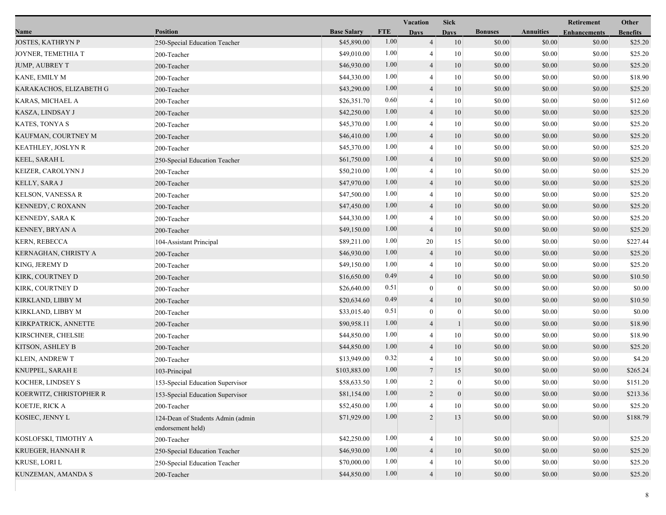|                          |                                                        |                    | Vacation   |                  | <b>Sick</b>      |                |                  | Retirement          | Other           |
|--------------------------|--------------------------------------------------------|--------------------|------------|------------------|------------------|----------------|------------------|---------------------|-----------------|
| Name                     | <b>Position</b>                                        | <b>Base Salary</b> | <b>FTE</b> | <b>Days</b>      | <b>Davs</b>      | <b>Bonuses</b> | <b>Annuities</b> | <b>Enhancements</b> | <b>Benefits</b> |
| <b>JOSTES, KATHRYN P</b> | 250-Special Education Teacher                          | \$45,890.00        | 1.00       | $\overline{4}$   | 10               | \$0.00         | \$0.00           | \$0.00              | \$25.20         |
| JOYNER, TEMETHIA T       | 200-Teacher                                            | \$49,010.00        | 1.00       | 4                | 10               | \$0.00         | \$0.00           | \$0.00              | \$25.20         |
| JUMP, AUBREY T           | 200-Teacher                                            | \$46,930.00        | 1.00       | $\overline{4}$   | 10               | \$0.00         | \$0.00           | \$0.00              | \$25.20         |
| KANE, EMILY M            | 200-Teacher                                            | \$44,330.00        | 1.00       | 4                | 10               | \$0.00         | \$0.00           | \$0.00              | \$18.90         |
| KARAKACHOS, ELIZABETH G  | 200-Teacher                                            | \$43,290.00        | 1.00       | 4                | 10               | \$0.00         | \$0.00           | \$0.00              | \$25.20         |
| KARAS, MICHAEL A         | 200-Teacher                                            | \$26,351.70        | 0.60       | 4                | 10               | \$0.00         | \$0.00           | \$0.00              | \$12.60         |
| KASZA, LINDSAY J         | 200-Teacher                                            | \$42,250.00        | 1.00       | 4                | 10               | \$0.00         | \$0.00           | \$0.00              | \$25.20         |
| KATES, TONYA S           | 200-Teacher                                            | \$45,370.00        | 1.00       | 4                | 10               | \$0.00         | \$0.00           | \$0.00              | \$25.20         |
| KAUFMAN, COURTNEY M      | 200-Teacher                                            | \$46,410.00        | 1.00       | $\overline{4}$   | 10               | \$0.00         | \$0.00           | \$0.00              | \$25.20         |
| KEATHLEY, JOSLYN R       | 200-Teacher                                            | \$45,370.00        | 1.00       | 4                | 10               | \$0.00         | \$0.00           | \$0.00              | \$25.20         |
| KEEL, SARAH L            | 250-Special Education Teacher                          | \$61,750.00        | 1.00       | 4                | 10               | \$0.00         | \$0.00           | \$0.00              | \$25.20         |
| KEIZER, CAROLYNN J       | 200-Teacher                                            | \$50,210.00        | 1.00       | 4                | 10               | \$0.00         | \$0.00           | \$0.00              | \$25.20         |
| KELLY, SARA J            | 200-Teacher                                            | \$47,970.00        | 1.00       | 4                | 10               | \$0.00         | \$0.00           | \$0.00              | \$25.20         |
| <b>KELSON, VANESSA R</b> | 200-Teacher                                            | \$47,500.00        | 1.00       | 4                | 10               | \$0.00         | \$0.00           | \$0.00              | \$25.20         |
| KENNEDY, C ROXANN        | 200-Teacher                                            | \$47,450.00        | 1.00       | $\overline{4}$   | 10               | \$0.00         | \$0.00           | \$0.00              | \$25.20         |
| <b>KENNEDY, SARA K</b>   | 200-Teacher                                            | \$44,330.00        | 1.00       | 4                | 10               | \$0.00         | \$0.00           | \$0.00              | \$25.20         |
| KENNEY, BRYAN A          | 200-Teacher                                            | \$49,150.00        | 1.00       | $\overline{4}$   | 10               | \$0.00         | \$0.00           | \$0.00              | \$25.20         |
| <b>KERN, REBECCA</b>     | 104-Assistant Principal                                | \$89,211.00        | 1.00       | 20               | 15               | \$0.00         | \$0.00           | \$0.00              | \$227.44        |
| KERNAGHAN, CHRISTY A     | 200-Teacher                                            | \$46,930.00        | 1.00       | 4                | 10               | \$0.00         | \$0.00           | \$0.00              | \$25.20         |
| KING, JEREMY D           | 200-Teacher                                            | \$49,150.00        | 1.00       | 4                | 10               | \$0.00         | \$0.00           | \$0.00              | \$25.20         |
| KIRK, COURTNEY D         | 200-Teacher                                            | \$16,650.00        | 0.49       | $\overline{4}$   | 10               | \$0.00         | \$0.00           | \$0.00              | \$10.50         |
| KIRK, COURTNEY D         | 200-Teacher                                            | \$26,640.00        | 0.51       | $\boldsymbol{0}$ | $\boldsymbol{0}$ | \$0.00         | \$0.00           | \$0.00              | \$0.00          |
| KIRKLAND, LIBBY M        | 200-Teacher                                            | \$20,634.60        | 0.49       | 4                | 10               | \$0.00         | \$0.00           | \$0.00              | \$10.50         |
| KIRKLAND, LIBBY M        | 200-Teacher                                            | \$33,015.40        | 0.51       | $\boldsymbol{0}$ | $\boldsymbol{0}$ | \$0.00         | \$0.00           | \$0.00              | \$0.00          |
| KIRKPATRICK, ANNETTE     | 200-Teacher                                            | \$90,958.11        | 1.00       | 4                |                  | \$0.00         | \$0.00           | \$0.00              | \$18.90         |
| KIRSCHNER, CHELSIE       | 200-Teacher                                            | \$44,850.00        | 1.00       | $\overline{4}$   | 10               | \$0.00         | \$0.00           | \$0.00              | \$18.90         |
| KITSON, ASHLEY B         | 200-Teacher                                            | \$44,850.00        | 1.00       | $\overline{4}$   | 10               | \$0.00         | \$0.00           | \$0.00              | \$25.20         |
| <b>KLEIN, ANDREW T</b>   | 200-Teacher                                            | \$13,949.00        | 0.32       | 4                | 10               | \$0.00         | \$0.00           | \$0.00              | \$4.20          |
| KNUPPEL, SARAH E         | 103-Principal                                          | \$103,883.00       | 1.00       | 7                | 15               | \$0.00         | \$0.00           | \$0.00              | \$265.24        |
| KOCHER, LINDSEY S        | 153-Special Education Supervisor                       | \$58,633.50        | 1.00       | $\overline{c}$   | $\boldsymbol{0}$ | \$0.00         | \$0.00           | \$0.00              | \$151.20        |
| KOERWITZ, CHRISTOPHER R  | 153-Special Education Supervisor                       | \$81,154.00        | $1.00\,$   |                  | $\overline{0}$   | \$0.00         | \$0.00           | \$0.00              | \$213.36        |
| KOETJE, RICK A           | 200-Teacher                                            | \$52,450.00        | 1.00       | 4                | 10               | \$0.00         | \$0.00           | \$0.00              | \$25.20         |
| KOSIEC, JENNY L          | 124-Dean of Students Admin (admin<br>endorsement held) | \$71,929.00        | 1.00       | $\overline{2}$   | 13               | \$0.00         | \$0.00           | \$0.00              | \$188.79        |
| KOSLOFSKI, TIMOTHY A     | 200-Teacher                                            | \$42,250.00        | 1.00       | 4                | 10               | \$0.00         | \$0.00           | \$0.00              | \$25.20         |
| <b>KRUEGER, HANNAH R</b> | 250-Special Education Teacher                          | \$46,930.00        | 1.00       | 4                | 10               | \$0.00         | \$0.00           | \$0.00              | \$25.20         |
| KRUSE, LORI L            | 250-Special Education Teacher                          | \$70,000.00        | 1.00       | 4                | 10               | \$0.00         | \$0.00           | \$0.00              | \$25.20         |
| KUNZEMAN, AMANDA S       | 200-Teacher                                            | \$44,850.00        | 1.00       | $\overline{4}$   | $10\,$           | \$0.00         | \$0.00           | \$0.00              | \$25.20         |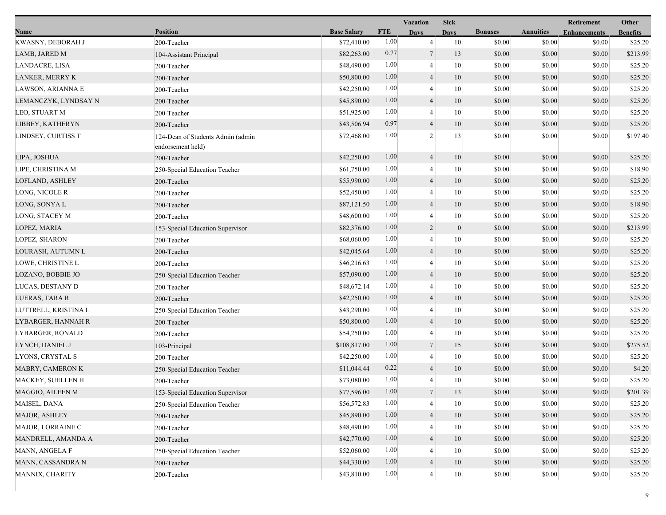|                        |                                                        |                    |            | Vacation        | <b>Sick</b>  |                |                  | Retirement          | Other           |
|------------------------|--------------------------------------------------------|--------------------|------------|-----------------|--------------|----------------|------------------|---------------------|-----------------|
| Name                   | <b>Position</b>                                        | <b>Base Salary</b> | <b>FTE</b> | <b>Days</b>     | <b>Days</b>  | <b>Bonuses</b> | <b>Annuities</b> | <b>Enhancements</b> | <b>Benefits</b> |
| KWASNY, DEBORAH J      | 200-Teacher                                            | \$72,410.00        | 1.00       | $\overline{4}$  | 10           | \$0.00         | \$0.00           | \$0.00              | \$25.20         |
| LAMB, JARED M          | 104-Assistant Principal                                | \$82,263.00        | 0.77       | $\tau$          | 13           | \$0.00         | \$0.00           | \$0.00              | \$213.99        |
| LANDACRE, LISA         | 200-Teacher                                            | \$48,490.00        | 1.00       | $\overline{4}$  | 10           | \$0.00         | \$0.00           | \$0.00              | \$25.20         |
| <b>LANKER, MERRY K</b> | 200-Teacher                                            | \$50,800.00        | 1.00       | $\overline{4}$  | 10           | \$0.00         | \$0.00           | \$0.00              | \$25.20         |
| LAWSON, ARIANNA E      | 200-Teacher                                            | \$42,250.00        | 1.00       | 4               | 10           | \$0.00         | \$0.00           | \$0.00              | \$25.20         |
| LEMANCZYK, LYNDSAY N   | 200-Teacher                                            | \$45,890.00        | 1.00       | $\overline{4}$  | 10           | \$0.00         | \$0.00           | \$0.00              | \$25.20         |
| LEO, STUART M          | 200-Teacher                                            | \$51,925.00        | 1.00       | $\overline{4}$  | 10           | \$0.00         | \$0.00           | \$0.00              | \$25.20         |
| LIBBEY, KATHERYN       | 200-Teacher                                            | \$43,506.94        | 0.97       | $\overline{4}$  | 10           | \$0.00         | \$0.00           | \$0.00              | \$25.20         |
| LINDSEY, CURTISS T     | 124-Dean of Students Admin (admin<br>endorsement held) | \$72,468.00        | 1.00       | $\overline{2}$  | 13           | \$0.00         | \$0.00           | \$0.00              | \$197.40        |
| LIPA, JOSHUA           | 200-Teacher                                            | \$42,250.00        | 1.00       | $\overline{4}$  | 10           | \$0.00         | \$0.00           | \$0.00              | \$25.20         |
| LIPE, CHRISTINA M      | 250-Special Education Teacher                          | \$61,750.00        | 1.00       | 4               | 10           | \$0.00         | \$0.00           | \$0.00              | \$18.90         |
| LOFLAND, ASHLEY        | 200-Teacher                                            | \$55,990.00        | 1.00       | $\overline{4}$  | 10           | \$0.00         | \$0.00           | \$0.00              | \$25.20         |
| LONG, NICOLE R         | 200-Teacher                                            | \$52,450.00        | 1.00       | 4               | 10           | \$0.00         | \$0.00           | \$0.00              | \$25.20         |
| LONG, SONYA L          | 200-Teacher                                            | \$87,121.50        | 1.00       | $\overline{4}$  | 10           | \$0.00         | \$0.00           | \$0.00              | \$18.90         |
| LONG, STACEY M         | 200-Teacher                                            | \$48,600.00        | 1.00       | 4               | 10           | \$0.00         | \$0.00           | \$0.00              | \$25.20         |
| LOPEZ, MARIA           | 153-Special Education Supervisor                       | \$82,376.00        | 1.00       | $\overline{2}$  | $\mathbf{0}$ | \$0.00         | \$0.00           | \$0.00              | \$213.99        |
| LOPEZ, SHARON          | 200-Teacher                                            | \$68,060.00        | 1.00       | 4               | 10           | \$0.00         | \$0.00           | \$0.00              | \$25.20         |
| LOURASH, AUTUMN L      | 200-Teacher                                            | \$42,045.64        | 1.00       | $\overline{4}$  | 10           | \$0.00         | \$0.00           | \$0.00              | \$25.20         |
| LOWE, CHRISTINE L      | 200-Teacher                                            | \$46,216.63        | 1.00       | $\overline{4}$  | 10           | \$0.00         | \$0.00           | \$0.00              | \$25.20         |
| LOZANO, BOBBIE JO      | 250-Special Education Teacher                          | \$57,090.00        | 1.00       | $\overline{4}$  | 10           | \$0.00         | \$0.00           | \$0.00              | \$25.20         |
| LUCAS, DESTANY D       | 200-Teacher                                            | \$48,672.14        | 1.00       | 4               | 10           | \$0.00         | \$0.00           | \$0.00              | \$25.20         |
| LUERAS, TARA R         | 200-Teacher                                            | \$42,250.00        | 1.00       | 4               | 10           | \$0.00         | \$0.00           | \$0.00              | \$25.20         |
| LUTTRELL, KRISTINA L   | 250-Special Education Teacher                          | \$43,290.00        | 1.00       | $\overline{4}$  | 10           | \$0.00         | \$0.00           | \$0.00              | \$25.20         |
| LYBARGER, HANNAH R     | 200-Teacher                                            | \$50,800.00        | 1.00       | $\overline{4}$  | 10           | \$0.00         | \$0.00           | \$0.00              | \$25.20         |
| LYBARGER, RONALD       | 200-Teacher                                            | \$54,250.00        | 1.00       | $\overline{4}$  | 10           | \$0.00         | \$0.00           | \$0.00              | \$25.20         |
| LYNCH, DANIEL J        | 103-Principal                                          | \$108,817.00       | 1.00       | $7\phantom{.0}$ | 15           | \$0.00         | \$0.00           | \$0.00              | \$275.52        |
| LYONS, CRYSTAL S       | 200-Teacher                                            | \$42,250.00        | 1.00       | 4               | 10           | \$0.00         | \$0.00           | \$0.00              | \$25.20         |
| MABRY, CAMERON K       | 250-Special Education Teacher                          | \$11,044.44        | 0.22       | $\overline{4}$  | 10           | \$0.00         | \$0.00           | \$0.00              | \$4.20          |
| MACKEY, SUELLEN H      | 200-Teacher                                            | \$73,080.00        | 1.00       | $\overline{4}$  | 10           | \$0.00         | \$0.00           | \$0.00              | \$25.20         |
| MAGGIO, AILEEN M       | 153-Special Education Supervisor                       | \$77,596.00        | 1.00       | $\tau$          | 13           | \$0.00         | \$0.00           | \$0.00              | \$201.39        |
| MAISEL, DANA           | 250-Special Education Teacher                          | \$56,572.83        | 1.00       | 4               | 10           | \$0.00         | \$0.00           | \$0.00              | \$25.20         |
| <b>MAJOR, ASHLEY</b>   | 200-Teacher                                            | \$45,890.00        | 1.00       | $\overline{4}$  | 10           | \$0.00         | \$0.00           | \$0.00              | \$25.20         |
| MAJOR, LORRAINE C      | 200-Teacher                                            | \$48,490.00        | 1.00       |                 | 10           | \$0.00         | \$0.00           | \$0.00              | \$25.20         |
| MANDRELL, AMANDA A     | 200-Teacher                                            | \$42,770.00        | 1.00       | 4               | 10           | \$0.00         | \$0.00           | \$0.00              | \$25.20         |
| MANN, ANGELA F         | 250-Special Education Teacher                          | \$52,060.00        | 1.00       |                 | 10           | \$0.00         | \$0.00           | \$0.00              | \$25.20         |
| MANN, CASSANDRA N      | 200-Teacher                                            | \$44,330.00        | 1.00       | 4               | 10           | \$0.00         | \$0.00           | \$0.00              | \$25.20         |
| MANNIX, CHARITY        | 200-Teacher                                            | \$43,810.00        | $1.00\,$   | 4               | $10\,$       | \$0.00         | \$0.00           | \$0.00              | \$25.20         |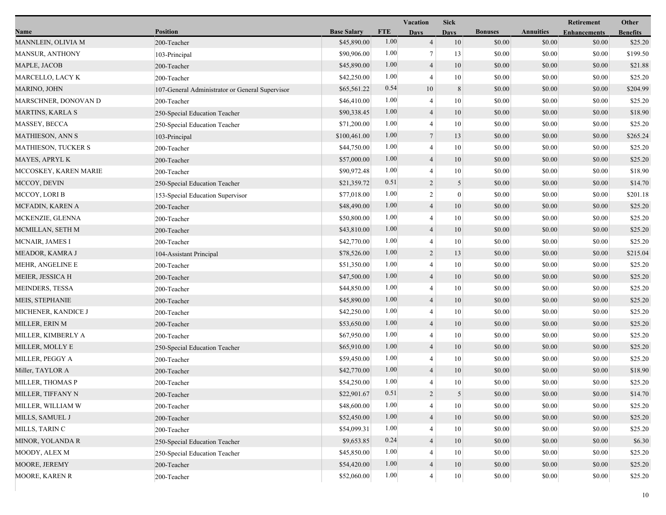|                         |                                                 |                    |            | Vacation       | <b>Sick</b>      |                |                  | Retirement          | Other           |
|-------------------------|-------------------------------------------------|--------------------|------------|----------------|------------------|----------------|------------------|---------------------|-----------------|
| Name                    | <b>Position</b>                                 | <b>Base Salary</b> | <b>FTE</b> | <b>Days</b>    | <b>Days</b>      | <b>Bonuses</b> | <b>Annuities</b> | <b>Enhancements</b> | <b>Benefits</b> |
| MANNLEIN, OLIVIA M      | 200-Teacher                                     | \$45,890.00        | 1.00       | $\overline{4}$ | 10               | \$0.00         | \$0.00           | \$0.00              | \$25.20         |
| <b>MANSUR, ANTHONY</b>  | 103-Principal                                   | \$90,906.00        | 1.00       | $\overline{7}$ | 13               | \$0.00         | \$0.00           | \$0.00              | \$199.50        |
| MAPLE, JACOB            | 200-Teacher                                     | \$45,890.00        | 1.00       | $\overline{4}$ | 10               | \$0.00         | \$0.00           | \$0.00              | \$21.88         |
| MARCELLO, LACY K        | 200-Teacher                                     | \$42,250.00        | 1.00       | 4              | 10               | \$0.00         | \$0.00           | \$0.00              | \$25.20         |
| MARINO, JOHN            | 107-General Administrator or General Supervisor | \$65,561.22        | 0.54       | 10             | 8                | \$0.00         | \$0.00           | \$0.00              | \$204.99        |
| MARSCHNER, DONOVAN D    | 200-Teacher                                     | \$46,410.00        | 1.00       | 4              | 10               | \$0.00         | \$0.00           | \$0.00              | \$25.20         |
| MARTINS, KARLA S        | 250-Special Education Teacher                   | \$90,338.45        | 1.00       | $\overline{4}$ | 10               | \$0.00         | \$0.00           | \$0.00              | \$18.90         |
| MASSEY, BECCA           | 250-Special Education Teacher                   | \$71,200.00        | 1.00       | 4              | 10               | \$0.00         | \$0.00           | \$0.00              | \$25.20         |
| <b>MATHIESON, ANN S</b> | 103-Principal                                   | \$100,461.00       | 1.00       | $\tau$         | 13               | \$0.00         | \$0.00           | \$0.00              | \$265.24        |
| MATHIESON, TUCKER S     | 200-Teacher                                     | \$44,750.00        | 1.00       | 4              | 10               | \$0.00         | \$0.00           | \$0.00              | \$25.20         |
| MAYES, APRYL K          | 200-Teacher                                     | \$57,000.00        | 1.00       | $\overline{4}$ | 10               | \$0.00         | \$0.00           | \$0.00              | \$25.20         |
| MCCOSKEY, KAREN MARIE   | 200-Teacher                                     | \$90,972.48        | 1.00       | 4              | $10\,$           | \$0.00         | \$0.00           | \$0.00              | \$18.90         |
| MCCOY, DEVIN            | 250-Special Education Teacher                   | \$21,359.72        | 0.51       | $\overline{2}$ | 5                | \$0.00         | \$0.00           | \$0.00              | \$14.70         |
| MCCOY, LORI B           | 153-Special Education Supervisor                | \$77,018.00        | 1.00       | 2              | $\boldsymbol{0}$ | \$0.00         | \$0.00           | \$0.00              | \$201.18        |
| MCFADIN, KAREN A        | 200-Teacher                                     | \$48,490.00        | 1.00       | $\overline{4}$ | 10               | \$0.00         | \$0.00           | \$0.00              | \$25.20         |
| MCKENZIE, GLENNA        | 200-Teacher                                     | \$50,800.00        | 1.00       | 4              | 10               | \$0.00         | \$0.00           | \$0.00              | \$25.20         |
| MCMILLAN, SETH M        | 200-Teacher                                     | \$43,810.00        | 1.00       | 4              | 10               | \$0.00         | \$0.00           | \$0.00              | \$25.20         |
| MCNAIR, JAMES I         | 200-Teacher                                     | \$42,770.00        | 1.00       | $\overline{4}$ | 10               | \$0.00         | \$0.00           | \$0.00              | \$25.20         |
| MEADOR, KAMRA J         | 104-Assistant Principal                         | \$78,526.00        | 1.00       | 2              | 13               | \$0.00         | \$0.00           | \$0.00              | \$215.04        |
| MEHR, ANGELINE E        | 200-Teacher                                     | \$51,350.00        | 1.00       | 4              | 10               | \$0.00         | \$0.00           | \$0.00              | \$25.20         |
| MEIER, JESSICA H        | 200-Teacher                                     | \$47,500.00        | 1.00       | $\overline{4}$ | 10               | \$0.00         | \$0.00           | \$0.00              | \$25.20         |
| MEINDERS, TESSA         | 200-Teacher                                     | \$44,850.00        | 1.00       | 4              | 10               | \$0.00         | \$0.00           | \$0.00              | \$25.20         |
| <b>MEIS, STEPHANIE</b>  | 200-Teacher                                     | \$45,890.00        | 1.00       | 4              | 10               | \$0.00         | \$0.00           | \$0.00              | \$25.20         |
| MICHENER, KANDICE J     | 200-Teacher                                     | \$42,250.00        | 1.00       | 4              | 10               | \$0.00         | \$0.00           | \$0.00              | \$25.20         |
| MILLER, ERIN M          | 200-Teacher                                     | \$53,650.00        | 1.00       | 4              | 10               | \$0.00         | \$0.00           | \$0.00              | \$25.20         |
| MILLER, KIMBERLY A      | 200-Teacher                                     | \$67,950.00        | 1.00       | 4              | 10               | \$0.00         | \$0.00           | \$0.00              | \$25.20         |
| MILLER, MOLLY E         | 250-Special Education Teacher                   | \$65,910.00        | 1.00       | $\overline{4}$ | 10               | \$0.00         | \$0.00           | \$0.00              | \$25.20         |
| MILLER, PEGGY A         | 200-Teacher                                     | \$59,450.00        | 1.00       | 4              | 10               | \$0.00         | \$0.00           | \$0.00              | \$25.20         |
| Miller, TAYLOR A        | 200-Teacher                                     | \$42,770.00        | 1.00       | 4              | 10               | \$0.00         | \$0.00           | \$0.00              | \$18.90         |
| MILLER, THOMAS P        | 200-Teacher                                     | \$54,250.00        | 1.00       | 4              | 10               | \$0.00         | \$0.00           | \$0.00              | \$25.20         |
| MILLER, TIFFANY N       | 200-Teacher                                     | \$22,901.67        | 0.51       | 2              | $\overline{5}$   | \$0.00         | \$0.00           | \$0.00              | \$14.70         |
| MILLER, WILLIAM W       | 200-Teacher                                     | \$48,600.00        | 1.00       | 4              | 10               | \$0.00         | \$0.00           | \$0.00              | \$25.20         |
| MILLS, SAMUEL J         | 200-Teacher                                     | \$52,450.00        | 1.00       | $\overline{4}$ | 10               | \$0.00         | \$0.00           | \$0.00              | \$25.20         |
| MILLS, TARIN C          | 200-Teacher                                     | \$54,099.31        | 1.00       |                | 10               | \$0.00         | \$0.00           | \$0.00              | \$25.20         |
| MINOR, YOLANDA R        | 250-Special Education Teacher                   | \$9,653.85         | 0.24       | 4              | 10               | \$0.00         | \$0.00           | \$0.00              | \$6.30          |
| MOODY, ALEX M           | 250-Special Education Teacher                   | \$45,850.00        | 1.00       |                | 10               | \$0.00         | \$0.00           | \$0.00              | \$25.20         |
| MOORE, JEREMY           | 200-Teacher                                     | \$54,420.00        | 1.00       | 4              | 10               | \$0.00         | \$0.00           | \$0.00              | \$25.20         |
| MOORE, KAREN R          | 200-Teacher                                     | \$52,060.00        | 1.00       | 4              | $10\,$           | \$0.00         | \$0.00           | \$0.00              | \$25.20         |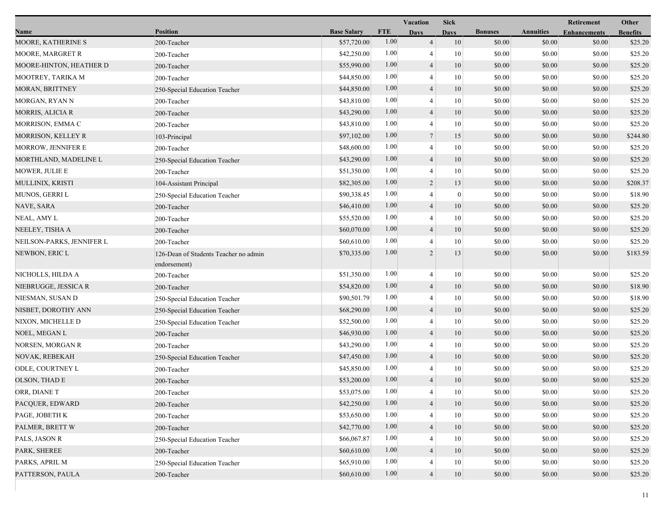|                           |                                                       |                    |            | Vacation       | <b>Sick</b>      |                |                  | Retirement          | Other           |
|---------------------------|-------------------------------------------------------|--------------------|------------|----------------|------------------|----------------|------------------|---------------------|-----------------|
| Name                      | <b>Position</b>                                       | <b>Base Salary</b> | <b>FTE</b> | <b>Days</b>    | <b>Days</b>      | <b>Bonuses</b> | <b>Annuities</b> | <b>Enhancements</b> | <b>Benefits</b> |
| MOORE, KATHERINE S        | 200-Teacher                                           | \$57,720.00        | 1.00       | $\overline{4}$ | 10               | \$0.00         | \$0.00           | \$0.00              | \$25.20         |
| MOORE, MARGRET R          | 200-Teacher                                           | \$42,250.00        | 1.00       | 4              | 10               | \$0.00         | \$0.00           | \$0.00              | \$25.20         |
| MOORE-HINTON, HEATHER D   | 200-Teacher                                           | \$55,990.00        | 1.00       | $\overline{4}$ | 10               | \$0.00         | \$0.00           | \$0.00              | \$25.20         |
| MOOTREY, TARIKA M         | 200-Teacher                                           | \$44,850.00        | 1.00       | 4              | 10               | \$0.00         | \$0.00           | \$0.00              | \$25.20         |
| MORAN, BRITTNEY           | 250-Special Education Teacher                         | \$44,850.00        | 1.00       | $\overline{4}$ | 10               | \$0.00         | \$0.00           | \$0.00              | \$25.20         |
| MORGAN, RYAN N            | 200-Teacher                                           | \$43,810.00        | 1.00       | 4              | 10               | \$0.00         | \$0.00           | \$0.00              | \$25.20         |
| MORRIS, ALICIA R          | 200-Teacher                                           | \$43,290.00        | 1.00       | 4              | 10               | \$0.00         | \$0.00           | \$0.00              | \$25.20         |
| MORRISON, EMMA C          | 200-Teacher                                           | \$43,810.00        | 1.00       | 4              | 10               | \$0.00         | \$0.00           | \$0.00              | \$25.20         |
| <b>MORRISON, KELLEY R</b> | 103-Principal                                         | \$97,102.00        | 1.00       | $\tau$         | 15               | \$0.00         | \$0.00           | \$0.00              | \$244.80        |
| MORROW, JENNIFER E        | 200-Teacher                                           | \$48,600.00        | 1.00       | 4              | 10               | \$0.00         | \$0.00           | \$0.00              | \$25.20         |
| MORTHLAND, MADELINE L     | 250-Special Education Teacher                         | \$43,290.00        | 1.00       | 4              | 10               | \$0.00         | \$0.00           | \$0.00              | \$25.20         |
| MOWER, JULIE E            | 200-Teacher                                           | \$51,350.00        | 1.00       | 4              | 10               | \$0.00         | \$0.00           | \$0.00              | \$25.20         |
| MULLINIX, KRISTI          | 104-Assistant Principal                               | \$82,305.00        | 1.00       | $\overline{c}$ | 13               | \$0.00         | \$0.00           | \$0.00              | \$208.37        |
| MUNOS, GERRI L            | 250-Special Education Teacher                         | \$90,338.45        | 1.00       | 4              | $\boldsymbol{0}$ | \$0.00         | \$0.00           | \$0.00              | \$18.90         |
| NAVE, SARA                | 200-Teacher                                           | \$46,410.00        | 1.00       | $\overline{4}$ | 10               | \$0.00         | \$0.00           | \$0.00              | \$25.20         |
| NEAL, AMY L               | 200-Teacher                                           | \$55,520.00        | 1.00       | 4              | 10               | \$0.00         | \$0.00           | \$0.00              | \$25.20         |
| NEELEY, TISHA A           | 200-Teacher                                           | \$60,070.00        | 1.00       | 4              | 10               | \$0.00         | \$0.00           | \$0.00              | \$25.20         |
| NEILSON-PARKS, JENNIFER L | 200-Teacher                                           | \$60,610.00        | 1.00       | 4              | 10               | \$0.00         | \$0.00           | \$0.00              | \$25.20         |
| NEWBON, ERIC L            | 126-Dean of Students Teacher no admin<br>endorsement) | \$70,335.00        | 1.00       | 2              | 13               | \$0.00         | \$0.00           | \$0.00              | \$183.59        |
| NICHOLLS, HILDA A         | 200-Teacher                                           | \$51,350.00        | 1.00       | 4              | 10               | \$0.00         | \$0.00           | \$0.00              | \$25.20         |
| NIEBRUGGE, JESSICA R      | 200-Teacher                                           | \$54,820.00        | 1.00       | $\overline{4}$ | 10               | \$0.00         | \$0.00           | \$0.00              | \$18.90         |
| NIESMAN, SUSAN D          | 250-Special Education Teacher                         | \$90,501.79        | 1.00       | 4              | 10               | \$0.00         | \$0.00           | \$0.00              | \$18.90         |
| NISBET, DOROTHY ANN       | 250-Special Education Teacher                         | \$68,290.00        | 1.00       | 4              | 10               | \$0.00         | \$0.00           | \$0.00              | \$25.20         |
| NIXON, MICHELLE D         | 250-Special Education Teacher                         | \$52,500.00        | 1.00       | 4              | 10               | \$0.00         | \$0.00           | \$0.00              | \$25.20         |
| NOEL, MEGAN L             | 200-Teacher                                           | \$46,930.00        | 1.00       | 4              | 10               | \$0.00         | \$0.00           | \$0.00              | \$25.20         |
| NORSEN, MORGAN R          | 200-Teacher                                           | \$43,290.00        | 1.00       | 4              | 10               | \$0.00         | \$0.00           | \$0.00              | \$25.20         |
| NOVAK, REBEKAH            | 250-Special Education Teacher                         | \$47,450.00        | 1.00       | $\overline{4}$ | 10               | \$0.00         | \$0.00           | \$0.00              | \$25.20         |
| ODLE, COURTNEY L          | 200-Teacher                                           | \$45,850.00        | 1.00       | 4              | 10               | \$0.00         | \$0.00           | \$0.00              | \$25.20         |
| OLSON, THAD E             | 200-Teacher                                           | \$53,200.00        | 1.00       | 4              | 10               | \$0.00         | \$0.00           | \$0.00              | \$25.20         |
| ORR, DIANE T              | 200-Teacher                                           | \$53,075.00        | 1.00       |                | 10               | $\$0.00$       | $\$0.00$         | $\$0.00$            | \$25.20         |
| PACQUER, EDWARD           | 200-Teacher                                           | \$42,250.00        | 1.00       | $\overline{4}$ | 10               | \$0.00         | \$0.00           | \$0.00              | \$25.20         |
| PAGE, JOBETH K            | 200-Teacher                                           | \$53,650.00        | 1.00       | 4              | 10               | \$0.00         | \$0.00           | \$0.00              | \$25.20         |
| PALMER, BRETT W           | 200-Teacher                                           | \$42,770.00        | 1.00       | 4              | 10               | \$0.00         | \$0.00           | \$0.00              | \$25.20         |
| PALS, JASON R             | 250-Special Education Teacher                         | \$66,067.87        | 1.00       |                | 10               | \$0.00         | \$0.00           | \$0.00              | \$25.20         |
| PARK, SHEREE              | 200-Teacher                                           | \$60,610.00        | 1.00       | 4              | 10               | \$0.00         | \$0.00           | \$0.00              | \$25.20         |
| PARKS, APRIL M            | 250-Special Education Teacher                         | \$65,910.00        | 1.00       |                | 10               | \$0.00         | \$0.00           | \$0.00              | \$25.20         |
| PATTERSON, PAULA          | 200-Teacher                                           | \$60,610.00        | 1.00       | $\overline{4}$ | $10\,$           | \$0.00         | \$0.00           | \$0.00              | \$25.20         |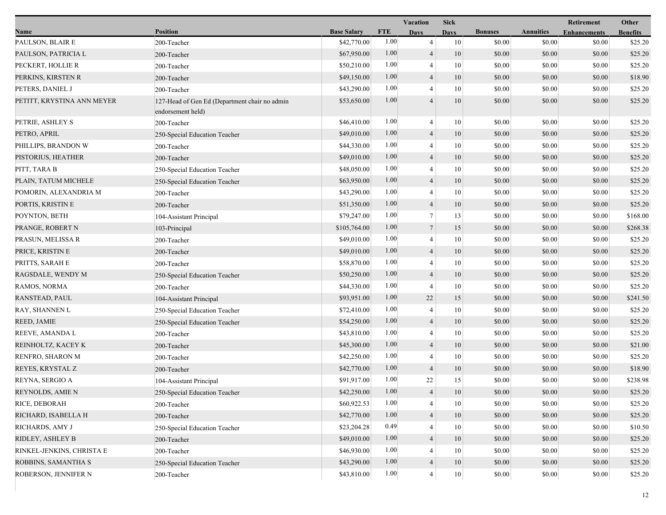|                            |                                                                    |                    |            | Vacation       | <b>Sick</b> |                |                  | Retirement          | Other           |
|----------------------------|--------------------------------------------------------------------|--------------------|------------|----------------|-------------|----------------|------------------|---------------------|-----------------|
| Name                       | <b>Position</b>                                                    | <b>Base Salary</b> | <b>FTE</b> | <b>Days</b>    | Davs        | <b>Bonuses</b> | <b>Annuities</b> | <b>Enhancements</b> | <b>Benefits</b> |
| PAULSON, BLAIR E           | 200-Teacher                                                        | \$42,770.00        | 1.00       | $\overline{4}$ | 10          | \$0.00         | \$0.00           | \$0.00              | \$25.20         |
| PAULSON, PATRICIA L        | 200-Teacher                                                        | \$67,950.00        | 1.00       | $\overline{4}$ | 10          | \$0.00         | \$0.00           | \$0.00              | \$25.20         |
| PECKERT, HOLLIE R          | 200-Teacher                                                        | \$50,210.00        | 1.00       | $\overline{4}$ | 10          | \$0.00         | \$0.00           | \$0.00              | \$25.20         |
| PERKINS, KIRSTEN R         | 200-Teacher                                                        | \$49,150.00        | 1.00       | $\overline{4}$ | 10          | \$0.00         | \$0.00           | \$0.00              | \$18.90         |
| PETERS, DANIEL J           | 200-Teacher                                                        | \$43,290.00        | 1.00       | $\overline{4}$ | 10          | \$0.00         | \$0.00           | \$0.00              | \$25.20         |
| PETITT, KRYSTINA ANN MEYER | 127-Head of Gen Ed (Department chair no admin<br>endorsement held) | \$53,650.00        | 1.00       | $\overline{4}$ | 10          | \$0.00         | \$0.00           | \$0.00              | \$25.20         |
| PETRIE, ASHLEY S           | 200-Teacher                                                        | \$46,410.00        | 1.00       | $\overline{4}$ | 10          | \$0.00         | \$0.00           | \$0.00              | \$25.20         |
| PETRO, APRIL               | 250-Special Education Teacher                                      | \$49,010.00        | 1.00       | $\overline{4}$ | 10          | \$0.00         | \$0.00           | \$0.00              | \$25.20         |
| PHILLIPS, BRANDON W        | 200-Teacher                                                        | \$44,330.00        | 1.00       | $\overline{4}$ | 10          | \$0.00         | \$0.00           | \$0.00              | \$25.20         |
| PISTORIUS, HEATHER         | 200-Teacher                                                        | \$49,010.00        | 1.00       | $\overline{4}$ | 10          | \$0.00         | \$0.00           | \$0.00              | \$25.20         |
| PITT, TARA B               | 250-Special Education Teacher                                      | \$48,050.00        | 1.00       | $\overline{4}$ | 10          | \$0.00         | \$0.00           | \$0.00              | \$25.20         |
| PLAIN, TATUM MICHELE       | 250-Special Education Teacher                                      | \$63,950.00        | 1.00       | $\overline{4}$ | 10          | \$0.00         | \$0.00           | \$0.00              | \$25.20         |
| POMORIN, ALEXANDRIA M      | 200-Teacher                                                        | \$43,290.00        | 1.00       | $\overline{4}$ | 10          | \$0.00         | \$0.00           | \$0.00              | \$25.20         |
| PORTIS, KRISTIN E          | 200-Teacher                                                        | \$51,350.00        | 1.00       | $\overline{4}$ | 10          | \$0.00         | \$0.00           | \$0.00              | \$25.20         |
| POYNTON, BETH              | 104-Assistant Principal                                            | \$79,247.00        | 1.00       | $\tau$         | 13          | \$0.00         | \$0.00           | \$0.00              | \$168.00        |
| PRANGE, ROBERT N           | 103-Principal                                                      | \$105,764.00       | 1.00       | $\tau$         | 15          | \$0.00         | \$0.00           | \$0.00              | \$268.38        |
| PRASUN, MELISSA R          | 200-Teacher                                                        | \$49,010.00        | 1.00       | $\overline{4}$ | 10          | \$0.00         | \$0.00           | \$0.00              | \$25.20         |
| PRICE, KRISTIN E           | 200-Teacher                                                        | \$49,010.00        | 1.00       | $\overline{4}$ | 10          | \$0.00         | \$0.00           | \$0.00              | \$25.20         |
| PRITTS, SARAH E            | 200-Teacher                                                        | \$58,870.00        | 1.00       | $\overline{4}$ | 10          | \$0.00         | \$0.00           | \$0.00              | \$25.20         |
| RAGSDALE, WENDY M          | 250-Special Education Teacher                                      | \$50,250.00        | 1.00       | $\overline{4}$ | 10          | \$0.00         | \$0.00           | \$0.00              | \$25.20         |
| RAMOS, NORMA               | 200-Teacher                                                        | \$44,330.00        | 1.00       | $\overline{4}$ | 10          | \$0.00         | \$0.00           | \$0.00              | \$25.20         |
| RANSTEAD, PAUL             | 104-Assistant Principal                                            | \$93,951.00        | 1.00       | 22             | 15          | \$0.00         | \$0.00           | \$0.00              | \$241.50        |
| RAY, SHANNEN L             | 250-Special Education Teacher                                      | \$72,410.00        | 1.00       | $\overline{4}$ | 10          | \$0.00         | \$0.00           | \$0.00              | \$25.20         |
| REED, JAMIE                | 250-Special Education Teacher                                      | \$54,250.00        | 1.00       | $\overline{4}$ | 10          | \$0.00         | \$0.00           | \$0.00              | \$25.20         |
| REEVE, AMANDA L            | 200-Teacher                                                        | \$43,810.00        | 1.00       | $\overline{4}$ | 10          | \$0.00         | \$0.00           | \$0.00              | \$25.20         |
| REINHOLTZ, KACEY K         | 200-Teacher                                                        | \$45,300.00        | 1.00       | $\overline{4}$ | 10          | \$0.00         | \$0.00           | \$0.00              | \$21.00         |
| RENFRO, SHARON M           | 200-Teacher                                                        | \$42,250.00        | 1.00       | $\overline{4}$ | 10          | \$0.00         | \$0.00           | \$0.00              | \$25.20         |
| REYES, KRYSTAL Z           | 200-Teacher                                                        | \$42,770.00        | 1.00       | $\overline{4}$ | 10          | \$0.00         | \$0.00           | \$0.00              | \$18.90         |
| REYNA, SERGIO A            | 104-Assistant Principal                                            | \$91,917.00        | 1.00       | $22\,$         | 15          | \$0.00         | \$0.00           | \$0.00              | \$238.98        |
| REYNOLDS, AMIE N           | 250-Special Education Teacher                                      | \$42,250.00        | 1.00       | $\overline{4}$ | 10          | \$0.00         | \$0.00           | \$0.00              | \$25.20         |
| RICE, DEBORAH              | 200-Teacher                                                        | \$60,922.53        | 1.00       | 4              | 10          | \$0.00         | \$0.00           | \$0.00              | \$25.20         |
| RICHARD, ISABELLA H        | 200-Teacher                                                        | \$42,770.00        | 1.00       | $\overline{4}$ | 10          | \$0.00         | \$0.00           | \$0.00              | \$25.20         |
| RICHARDS, AMY J            | 250-Special Education Teacher                                      | \$23,204.28        | 0.49       | $\overline{4}$ | 10          | \$0.00         | \$0.00           | \$0.00              | \$10.50         |
| RIDLEY, ASHLEY B           | 200-Teacher                                                        | \$49,010.00        | 1.00       | $\overline{4}$ | 10          | \$0.00         | \$0.00           | \$0.00              | \$25.20         |
| RINKEL-JENKINS, CHRISTA E  | 200-Teacher                                                        | \$46,930.00        | 1.00       | 4              | 10          | \$0.00         | \$0.00           | \$0.00              | \$25.20         |
| ROBBINS, SAMANTHA S        | 250-Special Education Teacher                                      | \$43,290.00        | 1.00       | $\overline{4}$ | 10          | \$0.00         | \$0.00           | \$0.00              | \$25.20         |
| ROBERSON, JENNIFER N       | 200-Teacher                                                        | \$43,810.00        | 1.00       | $\overline{4}$ | $10\,$      | \$0.00         | \$0.00           | \$0.00              | \$25.20         |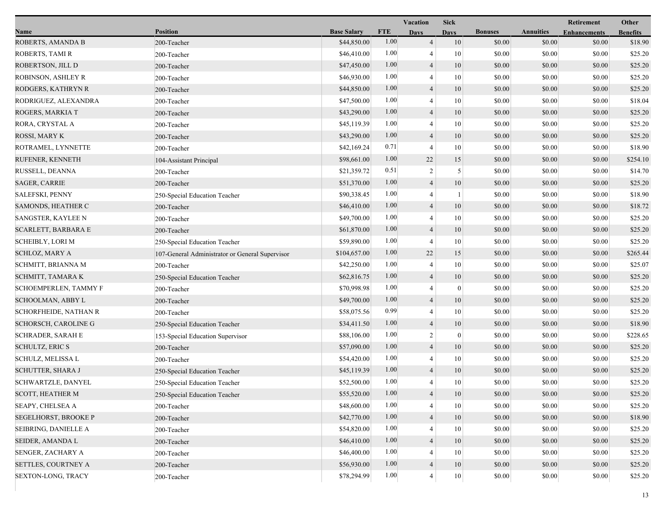|                              |                                                 |                    | <b>Vacation</b> |                | <b>Sick</b>  |                |                  | <b>Retirement</b>   | Other           |
|------------------------------|-------------------------------------------------|--------------------|-----------------|----------------|--------------|----------------|------------------|---------------------|-----------------|
| Name                         | <b>Position</b>                                 | <b>Base Salary</b> | <b>FTE</b>      | <b>Days</b>    | <b>Days</b>  | <b>Bonuses</b> | <b>Annuities</b> | <b>Enhancements</b> | <b>Benefits</b> |
| ROBERTS, AMANDA B            | 200-Teacher                                     | \$44,850.00        | 1.00            | $\overline{4}$ | 10           | \$0.00         | \$0.00           | \$0.00              | \$18.90         |
| ROBERTS, TAMI R              | 200-Teacher                                     | \$46,410.00        | 1.00            | 4              | 10           | \$0.00         | \$0.00           | \$0.00              | \$25.20         |
| ROBERTSON, JILL D            | 200-Teacher                                     | \$47,450.00        | 1.00            | $\overline{4}$ | 10           | \$0.00         | \$0.00           | \$0.00              | \$25.20         |
| ROBINSON, ASHLEY R           | 200-Teacher                                     | \$46,930.00        | 1.00            | $\overline{4}$ | 10           | \$0.00         | \$0.00           | \$0.00              | \$25.20         |
| RODGERS, KATHRYN R           | 200-Teacher                                     | \$44,850.00        | 1.00            | $\overline{4}$ | 10           | \$0.00         | \$0.00           | \$0.00              | \$25.20         |
| RODRIGUEZ, ALEXANDRA         | 200-Teacher                                     | \$47,500.00        | 1.00            | $\overline{4}$ | 10           | \$0.00         | \$0.00           | \$0.00              | \$18.04         |
| ROGERS, MARKIA T             | 200-Teacher                                     | \$43,290.00        | 1.00            | $\overline{4}$ | 10           | \$0.00         | \$0.00           | \$0.00              | \$25.20         |
| RORA, CRYSTAL A              | 200-Teacher                                     | \$45,119.39        | 1.00            | 4              | 10           | \$0.00         | \$0.00           | \$0.00              | \$25.20         |
| ROSSI, MARY K                | 200-Teacher                                     | \$43,290.00        | 1.00            | $\overline{4}$ | 10           | \$0.00         | \$0.00           | \$0.00              | \$25.20         |
| ROTRAMEL, LYNNETTE           | 200-Teacher                                     | \$42,169.24        | 0.71            | $\overline{4}$ | 10           | \$0.00         | \$0.00           | \$0.00              | \$18.90         |
| RUFENER, KENNETH             | 104-Assistant Principal                         | \$98,661.00        | 1.00            | 22             | 15           | \$0.00         | \$0.00           | \$0.00              | \$254.10        |
| RUSSELL, DEANNA              | 200-Teacher                                     | \$21,359.72        | 0.51            | $\sqrt{2}$     | 5            | \$0.00         | \$0.00           | \$0.00              | \$14.70         |
| <b>SAGER, CARRIE</b>         | 200-Teacher                                     | \$51,370.00        | 1.00            | $\overline{4}$ | 10           | \$0.00         | \$0.00           | \$0.00              | \$25.20         |
| <b>SALEFSKI, PENNY</b>       | 250-Special Education Teacher                   | \$90,338.45        | 1.00            | $\overline{4}$ |              | \$0.00         | \$0.00           | \$0.00              | \$18.90         |
| SAMONDS, HEATHER C           | 200-Teacher                                     | \$46,410.00        | 1.00            | $\overline{4}$ | 10           | \$0.00         | \$0.00           | \$0.00              | \$18.72         |
| <b>SANGSTER, KAYLEE N</b>    | 200-Teacher                                     | \$49,700.00        | 1.00            | 4              | 10           | \$0.00         | \$0.00           | \$0.00              | \$25.20         |
| SCARLETT, BARBARA E          | 200-Teacher                                     | \$61,870.00        | 1.00            | $\overline{4}$ | 10           | \$0.00         | \$0.00           | \$0.00              | \$25.20         |
| <b>SCHEIBLY, LORI M</b>      | 250-Special Education Teacher                   | \$59,890.00        | 1.00            | $\overline{4}$ | 10           | \$0.00         | \$0.00           | \$0.00              | \$25.20         |
| SCHLOZ, MARY A               | 107-General Administrator or General Supervisor | \$104,657.00       | 1.00            | 22             | 15           | \$0.00         | \$0.00           | \$0.00              | \$265.44        |
| SCHMITT, BRIANNA M           | 200-Teacher                                     | \$42,250.00        | 1.00            | 4              | 10           | \$0.00         | \$0.00           | \$0.00              | \$25.07         |
| SCHMITT, TAMARA K            | 250-Special Education Teacher                   | \$62,816.75        | 1.00            | $\overline{4}$ | 10           | \$0.00         | \$0.00           | \$0.00              | \$25.20         |
| SCHOEMPERLEN, TAMMY F        | 200-Teacher                                     | \$70,998.98        | 1.00            | 4              | $\mathbf{0}$ | \$0.00         | \$0.00           | \$0.00              | \$25.20         |
| SCHOOLMAN, ABBY L            | 200-Teacher                                     | \$49,700.00        | 1.00            | $\overline{4}$ | 10           | \$0.00         | \$0.00           | \$0.00              | \$25.20         |
| <b>SCHORFHEIDE, NATHAN R</b> | 200-Teacher                                     | \$58,075.56        | 0.99            | 4              | 10           | \$0.00         | \$0.00           | \$0.00              | \$25.20         |
| SCHORSCH, CAROLINE G         | 250-Special Education Teacher                   | \$34,411.50        | 1.00            | $\overline{4}$ | 10           | \$0.00         | \$0.00           | \$0.00              | \$18.90         |
| <b>SCHRADER, SARAH E</b>     | 153-Special Education Supervisor                | \$88,106.00        | 1.00            | $\overline{2}$ | $\mathbf{0}$ | \$0.00         | \$0.00           | \$0.00              | \$228.65        |
| <b>SCHULTZ, ERIC S</b>       | 200-Teacher                                     | \$57,090.00        | 1.00            | $\overline{4}$ | 10           | \$0.00         | \$0.00           | \$0.00              | \$25.20         |
| SCHULZ, MELISSA L            | 200-Teacher                                     | \$54,420.00        | 1.00            | 4              | 10           | \$0.00         | \$0.00           | \$0.00              | \$25.20         |
| SCHUTTER, SHARA J            | 250-Special Education Teacher                   | \$45,119.39        | 1.00            | 4              | 10           | \$0.00         | \$0.00           | \$0.00              | \$25.20         |
| <b>SCHWARTZLE, DANYEL</b>    | 250-Special Education Teacher                   | \$52,500.00        | 1.00            | $\overline{4}$ | 10           | \$0.00         | \$0.00           | \$0.00              | \$25.20         |
| <b>SCOTT, HEATHER M</b>      | 250-Special Education Teacher                   | \$55,520.00        | $1.00\,$        | 4              | 10           | \$0.00         | \$0.00           | \$0.00              | \$25.20         |
| SEAPY, CHELSEA A             | 200-Teacher                                     | \$48,600.00        | 1.00            | $\overline{4}$ | 10           | \$0.00         | \$0.00           | \$0.00              | \$25.20         |
| SEGELHORST, BROOKE P         | 200-Teacher                                     | \$42,770.00        | 1.00            | $\overline{4}$ | 10           | \$0.00         | \$0.00           | \$0.00              | \$18.90         |
| SEIBRING, DANIELLE A         | 200-Teacher                                     | \$54,820.00        | 1.00            | 4              | 10           | \$0.00         | \$0.00           | \$0.00              | \$25.20         |
| SEIDER, AMANDA L             | 200-Teacher                                     | \$46,410.00        | 1.00            | $\overline{4}$ | 10           | \$0.00         | \$0.00           | \$0.00              | \$25.20         |
| <b>SENGER, ZACHARY A</b>     | 200-Teacher                                     | \$46,400.00        | 1.00            |                | 10           | \$0.00         | \$0.00           | \$0.00              | \$25.20         |
| SETTLES, COURTNEY A          | 200-Teacher                                     | \$56,930.00        | 1.00            | $\overline{4}$ | $10\,$       | \$0.00         | \$0.00           | \$0.00              | \$25.20         |
| SEXTON-LONG, TRACY           | 200-Teacher                                     | \$78,294.99        | 1.00            | 4              | 10           | \$0.00         | \$0.00           | \$0.00              | \$25.20         |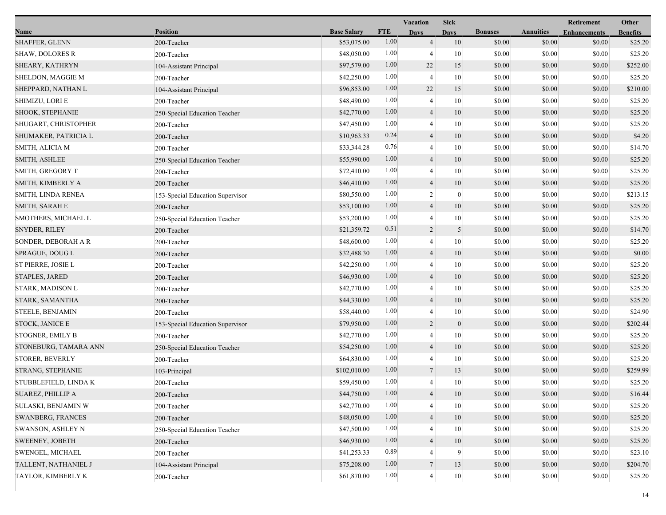|                          |                                  |                    |            | Vacation       |                  |                |                  | Retirement          | Other           |
|--------------------------|----------------------------------|--------------------|------------|----------------|------------------|----------------|------------------|---------------------|-----------------|
| Name                     | <b>Position</b>                  | <b>Base Salary</b> | <b>FTE</b> | <b>Days</b>    | <b>Days</b>      | <b>Bonuses</b> | <b>Annuities</b> | <b>Enhancements</b> | <b>Benefits</b> |
| <b>SHAFFER, GLENN</b>    | 200-Teacher                      | \$53,075.00        | 1.00       | $\overline{4}$ | 10               | \$0.00         | \$0.00           | \$0.00              | \$25.20         |
| <b>SHAW, DOLORES R</b>   | 200-Teacher                      | \$48,050.00        | 1.00       | 4              | 10               | \$0.00         | \$0.00           | \$0.00              | \$25.20         |
| SHEARY, KATHRYN          | 104-Assistant Principal          | \$97,579.00        | 1.00       | 22             | 15               | \$0.00         | \$0.00           | \$0.00              | \$252.00        |
| SHELDON, MAGGIE M        | 200-Teacher                      | \$42,250.00        | 1.00       | $\overline{4}$ | 10               | \$0.00         | \$0.00           | \$0.00              | \$25.20         |
| SHEPPARD, NATHAN L       | 104-Assistant Principal          | \$96,853.00        | 1.00       | 22             | 15               | \$0.00         | \$0.00           | \$0.00              | \$210.00        |
| SHIMIZU, LORI E          | 200-Teacher                      | \$48,490.00        | 1.00       | 4              | 10               | \$0.00         | \$0.00           | \$0.00              | \$25.20         |
| SHOOK, STEPHANIE         | 250-Special Education Teacher    | \$42,770.00        | 1.00       | $\overline{4}$ | 10               | \$0.00         | \$0.00           | \$0.00              | \$25.20         |
| SHUGART, CHRISTOPHER     | 200-Teacher                      | \$47,450.00        | 1.00       | 4              | 10               | \$0.00         | \$0.00           | \$0.00              | \$25.20         |
| SHUMAKER, PATRICIA L     | 200-Teacher                      | \$10,963.33        | 0.24       | $\overline{4}$ | 10               | \$0.00         | \$0.00           | \$0.00              | \$4.20          |
| SMITH, ALICIA M          | 200-Teacher                      | \$33,344.28        | 0.76       | 4              | 10               | \$0.00         | \$0.00           | \$0.00              | \$14.70         |
| SMITH, ASHLEE            | 250-Special Education Teacher    | \$55,990.00        | 1.00       | 4              | 10               | \$0.00         | \$0.00           | \$0.00              | \$25.20         |
| SMITH, GREGORY T         | 200-Teacher                      | \$72,410.00        | 1.00       | 4              | 10               | \$0.00         | \$0.00           | \$0.00              | \$25.20         |
| SMITH, KIMBERLY A        | 200-Teacher                      | \$46,410.00        | 1.00       | $\overline{4}$ | 10               | \$0.00         | \$0.00           | \$0.00              | \$25.20         |
| SMITH, LINDA RENEA       | 153-Special Education Supervisor | \$80,550.00        | 1.00       | $\overline{c}$ | $\boldsymbol{0}$ | \$0.00         | \$0.00           | \$0.00              | \$213.15        |
| SMITH, SARAH E           | 200-Teacher                      | \$53,100.00        | 1.00       | $\overline{4}$ | 10               | \$0.00         | \$0.00           | \$0.00              | \$25.20         |
| SMOTHERS, MICHAEL L      | 250-Special Education Teacher    | \$53,200.00        | 1.00       | $\overline{4}$ | 10               | \$0.00         | \$0.00           | \$0.00              | \$25.20         |
| <b>SNYDER, RILEY</b>     | 200-Teacher                      | \$21,359.72        | 0.51       | 2              | 5                | \$0.00         | \$0.00           | \$0.00              | \$14.70         |
| SONDER, DEBORAH A R      | 200-Teacher                      | \$48,600.00        | 1.00       | 4              | 10               | \$0.00         | \$0.00           | \$0.00              | \$25.20         |
| SPRAGUE, DOUG L          | 200-Teacher                      | \$32,488.30        | 1.00       | 4              | 10               | \$0.00         | \$0.00           | \$0.00              | \$0.00          |
| ST PIERRE, JOSIE L       | 200-Teacher                      | \$42,250.00        | 1.00       | 4              | 10               | \$0.00         | \$0.00           | \$0.00              | \$25.20         |
| <b>STAPLES, JARED</b>    | 200-Teacher                      | \$46,930.00        | 1.00       | $\overline{4}$ | 10               | \$0.00         | \$0.00           | \$0.00              | \$25.20         |
| STARK, MADISON L         | 200-Teacher                      | \$42,770.00        | 1.00       | 4              | 10               | \$0.00         | \$0.00           | \$0.00              | \$25.20         |
| STARK, SAMANTHA          | 200-Teacher                      | \$44,330.00        | 1.00       | $\overline{4}$ | 10               | \$0.00         | \$0.00           | \$0.00              | \$25.20         |
| <b>STEELE, BENJAMIN</b>  | 200-Teacher                      | \$58,440.00        | 1.00       | 4              | 10               | \$0.00         | \$0.00           | \$0.00              | \$24.90         |
| STOCK, JANICE E          | 153-Special Education Supervisor | \$79,950.00        | 1.00       | $\overline{2}$ | $\mathbf{0}$     | \$0.00         | \$0.00           | \$0.00              | \$202.44        |
| <b>STOGNER, EMILY B</b>  | 200-Teacher                      | \$42,770.00        | 1.00       | 4              | 10               | \$0.00         | \$0.00           | \$0.00              | \$25.20         |
| STONEBURG, TAMARA ANN    | 250-Special Education Teacher    | \$54,250.00        | 1.00       | $\overline{4}$ | 10               | \$0.00         | \$0.00           | \$0.00              | \$25.20         |
| <b>STORER, BEVERLY</b>   | 200-Teacher                      | \$64,830.00        | 1.00       | $\overline{4}$ | 10               | \$0.00         | \$0.00           | \$0.00              | \$25.20         |
| STRANG, STEPHANIE        | 103-Principal                    | \$102,010.00       | 1.00       | $\overline{7}$ | 13               | \$0.00         | \$0.00           | \$0.00              | \$259.99        |
| STUBBLEFIELD, LINDA K    | 200-Teacher                      | \$59,450.00        | 1.00       | 4              | 10               | \$0.00         | \$0.00           | \$0.00              | \$25.20         |
| SUAREZ, PHILLIP A        | 200-Teacher                      | \$44,750.00        | $1.00\,$   | 4              | 10               | \$0.00         | \$0.00           | \$0.00              | \$16.44         |
| SULASKI, BENJAMIN W      | 200-Teacher                      | \$42,770.00        | 1.00       | 4              | 10               | \$0.00         | \$0.00           | \$0.00              | \$25.20         |
| <b>SWANBERG, FRANCES</b> | 200-Teacher                      | \$48,050.00        | 1.00       | $\overline{4}$ | 10               | \$0.00         | \$0.00           | \$0.00              | \$25.20         |
| <b>SWANSON, ASHLEY N</b> | 250-Special Education Teacher    | \$47,500.00        | 1.00       | 4              | 10               | \$0.00         | \$0.00           | \$0.00              | \$25.20         |
| <b>SWEENEY, JOBETH</b>   | 200-Teacher                      | \$46,930.00        | 1.00       | 4              | 10               | \$0.00         | \$0.00           | \$0.00              | \$25.20         |
| <b>SWENGEL, MICHAEL</b>  | 200-Teacher                      | \$41,253.33        | 0.89       |                | 9                | \$0.00         | \$0.00           | \$0.00              | \$23.10         |
| TALLENT, NATHANIEL J     | 104-Assistant Principal          | \$75,208.00        | 1.00       | $\overline{7}$ | 13               | \$0.00         | \$0.00           | \$0.00              | \$204.70        |
| TAYLOR, KIMBERLY K       | 200-Teacher                      | \$61,870.00        | 1.00       | $\overline{4}$ | $10\,$           | \$0.00         | \$0.00           | \$0.00              | \$25.20         |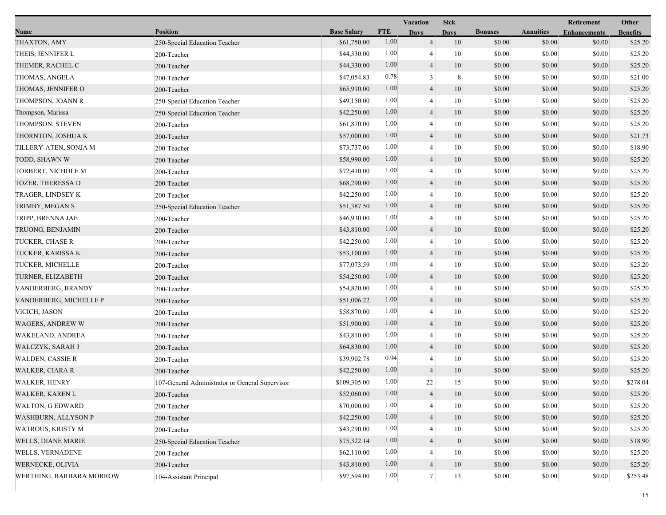|                            |                                                 |                    |            | Vacation                 | <b>Sick</b>      |                |                  | Retirement          | Other           |
|----------------------------|-------------------------------------------------|--------------------|------------|--------------------------|------------------|----------------|------------------|---------------------|-----------------|
| Name                       | <b>Position</b>                                 | <b>Base Salary</b> | <b>FTE</b> | <b>Days</b>              | <b>Days</b>      | <b>Bonuses</b> | <b>Annuities</b> | <b>Enhancements</b> | <b>Benefits</b> |
| THAXTON, AMY               | 250-Special Education Teacher                   | \$61,750.00        | 1.00       | $\overline{4}$           | 10               | \$0.00         | \$0.00           | \$0.00              | \$25.20         |
| THEIS, JENNIFER L          | 200-Teacher                                     | \$44,330.00        | 1.00       | 4                        | 10               | \$0.00         | \$0.00           | \$0.00              | \$25.20         |
| THEMER, RACHEL C           | 200-Teacher                                     | \$44,330.00        | 1.00       | $\overline{4}$           | 10               | \$0.00         | \$0.00           | \$0.00              | \$25.20         |
| THOMAS, ANGELA             | 200-Teacher                                     | \$47,054.83        | 0.78       | 3                        | 8                | \$0.00         | \$0.00           | \$0.00              | \$21.00         |
| THOMAS, JENNIFER O         | 200-Teacher                                     | \$65,910.00        | 1.00       | $\overline{4}$           | 10               | \$0.00         | \$0.00           | \$0.00              | \$25.20         |
| THOMPSON, JOANN R          | 250-Special Education Teacher                   | \$49,150.00        | 1.00       | $\overline{4}$           | 10               | \$0.00         | \$0.00           | \$0.00              | \$25.20         |
| Thompson, Marissa          | 250-Special Education Teacher                   | \$42,250.00        | 1.00       | 4                        | 10               | \$0.00         | \$0.00           | \$0.00              | \$25.20         |
| THOMPSON, STEVEN           | 200-Teacher                                     | \$61,870.00        | 1.00       | 4                        | 10               | \$0.00         | \$0.00           | \$0.00              | \$25.20         |
| THORNTON, JOSHUA K         | 200-Teacher                                     | \$57,000.00        | 1.00       | $\overline{4}$           | 10               | \$0.00         | \$0.00           | \$0.00              | \$21.73         |
| TILLERY-ATEN, SONJA M      | 200-Teacher                                     | \$73,737.06        | 1.00       | 4                        | 10               | \$0.00         | \$0.00           | \$0.00              | \$18.90         |
| TODD, SHAWN W              | 200-Teacher                                     | \$58,990.00        | 1.00       | $\overline{4}$           | 10               | \$0.00         | \$0.00           | \$0.00              | \$25.20         |
| TORBERT, NICHOLE M         | 200-Teacher                                     | \$72,410.00        | 1.00       | 4                        | $10\,$           | \$0.00         | \$0.00           | \$0.00              | \$25.20         |
| <b>TOZER, THERESSA D</b>   | 200-Teacher                                     | \$68,290.00        | 1.00       | 4                        | 10               | \$0.00         | \$0.00           | \$0.00              | \$25.20         |
| TRAGER, LINDSEY K          | 200-Teacher                                     | \$42,250.00        | 1.00       | 4                        | 10               | \$0.00         | \$0.00           | \$0.00              | \$25.20         |
| TRIMBY, MEGAN S            | 250-Special Education Teacher                   | \$51,387.50        | 1.00       | $\overline{4}$           | 10               | \$0.00         | \$0.00           | \$0.00              | \$25.20         |
| TRIPP, BRENNA JAE          | 200-Teacher                                     | \$46,930.00        | 1.00       | 4                        | 10               | \$0.00         | \$0.00           | \$0.00              | \$25.20         |
| TRUONG, BENJAMIN           | 200-Teacher                                     | \$43,810.00        | 1.00       | 4                        | 10               | \$0.00         | \$0.00           | \$0.00              | \$25.20         |
| TUCKER, CHASE R            | 200-Teacher                                     | \$42,250.00        | 1.00       | 4                        | 10               | \$0.00         | \$0.00           | \$0.00              | \$25.20         |
| TUCKER, KARISSA K          | 200-Teacher                                     | \$53,100.00        | 1.00       | 4                        | 10               | \$0.00         | \$0.00           | \$0.00              | \$25.20         |
| TUCKER, MICHELLE           | 200-Teacher                                     | \$77,073.59        | 1.00       | 4                        | 10               | \$0.00         | \$0.00           | \$0.00              | \$25.20         |
| TURNER, ELIZABETH          | 200-Teacher                                     | \$54,250.00        | 1.00       | $\overline{4}$           | 10               | \$0.00         | \$0.00           | \$0.00              | \$25.20         |
| VANDERBERG, BRANDY         | 200-Teacher                                     | \$54,820.00        | 1.00       | 4                        | 10               | \$0.00         | \$0.00           | \$0.00              | \$25.20         |
| VANDERBERG, MICHELLE P     | 200-Teacher                                     | \$51,006.22        | 1.00       | 4                        | 10               | \$0.00         | \$0.00           | \$0.00              | \$25.20         |
| VICICH, JASON              | 200-Teacher                                     | \$58,870.00        | 1.00       | 4                        | 10               | \$0.00         | \$0.00           | \$0.00              | \$25.20         |
| <b>WAGERS, ANDREW W</b>    | 200-Teacher                                     | \$51,900.00        | 1.00       | 4                        | 10               | \$0.00         | \$0.00           | \$0.00              | \$25.20         |
| <b>WAKELAND, ANDREA</b>    | 200-Teacher                                     | \$43,810.00        | 1.00       | 4                        | 10               | \$0.00         | \$0.00           | \$0.00              | \$25.20         |
| WALCZYK, SARAH J           | 200-Teacher                                     | \$64,830.00        | 1.00       | $\overline{4}$           | 10               | \$0.00         | \$0.00           | \$0.00              | \$25.20         |
| <b>WALDEN, CASSIE R</b>    | 200-Teacher                                     | \$39,902.78        | 0.94       | 4                        | 10               | \$0.00         | \$0.00           | \$0.00              | \$25.20         |
| WALKER, CIARA R            | 200-Teacher                                     | \$42,250.00        | 1.00       | 4                        | 10               | \$0.00         | \$0.00           | \$0.00              | \$25.20         |
| <b>WALKER, HENRY</b>       | 107-General Administrator or General Supervisor | \$109,305.00       | 1.00       | 22                       | 15               | \$0.00         | \$0.00           | \$0.00              | \$278.04        |
| WALKER, KAREN L            | 200-Teacher                                     | \$52,060.00        | 1.00       | 4                        | 10               | \$0.00         | \$0.00           | \$0.00              | \$25.20         |
| <b>WALTON, G EDWARD</b>    | 200-Teacher                                     | \$70,000.00        | 1.00       | $\overline{\mathcal{A}}$ | 10               | \$0.00         | \$0.00           | \$0.00              | \$25.20         |
| <b>WASHBURN, ALLYSON P</b> | 200-Teacher                                     | \$42,250.00        | 1.00       | $\overline{4}$           | 10               | \$0.00         | \$0.00           | \$0.00              | \$25.20         |
| <b>WATROUS, KRISTY M</b>   | 200-Teacher                                     | \$43,290.00        | 1.00       |                          | 10               | \$0.00         | \$0.00           | \$0.00              | \$25.20         |
| <b>WELLS, DIANE MARIE</b>  | 250-Special Education Teacher                   | \$75,322.14        | 1.00       | 4                        | $\boldsymbol{0}$ | \$0.00         | \$0.00           | \$0.00              | \$18.90         |
| <b>WELLS, VERNADENE</b>    | 200-Teacher                                     | \$62,110.00        | 1.00       |                          | 10               | \$0.00         | \$0.00           | \$0.00              | \$25.20         |
| WERNECKE, OLIVIA           | 200-Teacher                                     | \$43,810.00        | 1.00       | 4                        | 10               | \$0.00         | \$0.00           | \$0.00              | \$25.20         |
| WERTHING, BARBARA MORROW   | 104-Assistant Principal                         | \$97,594.00        | 1.00       | $7\phantom{.0}$          | 13               | \$0.00         | \$0.00           | \$0.00              | \$253.48        |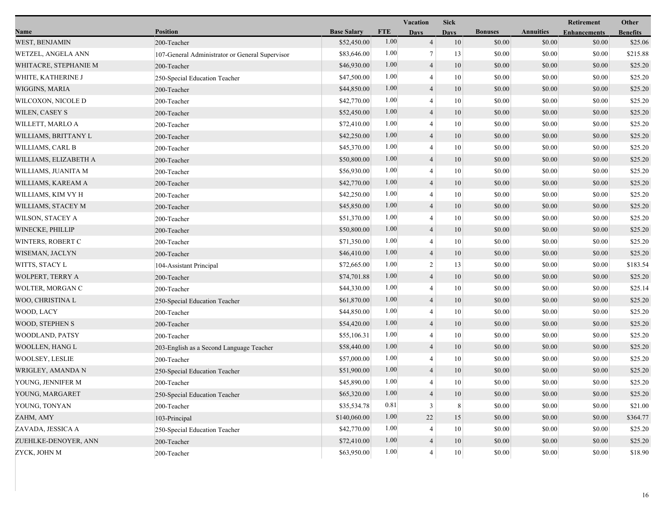|                           |                                                 |                    | Vacation   |                | <b>Sick</b> |                |                  | Retirement          | Other           |
|---------------------------|-------------------------------------------------|--------------------|------------|----------------|-------------|----------------|------------------|---------------------|-----------------|
| Name                      | <b>Position</b>                                 | <b>Base Salary</b> | <b>FTE</b> | <b>Days</b>    | <b>Days</b> | <b>Bonuses</b> | <b>Annuities</b> | <b>Enhancements</b> | <b>Benefits</b> |
| <b>WEST, BENJAMIN</b>     | 200-Teacher                                     | \$52,450.00        | 1.00       | $\overline{4}$ | 10          | \$0.00         | \$0.00           | \$0.00              | \$25.06         |
| <b>WETZEL, ANGELA ANN</b> | 107-General Administrator or General Supervisor | \$83,646.00        | 1.00       | 7              | 13          | \$0.00         | \$0.00           | \$0.00              | \$215.88        |
| WHITACRE, STEPHANIE M     | 200-Teacher                                     | \$46,930.00        | 1.00       | $\overline{4}$ | 10          | \$0.00         | \$0.00           | \$0.00              | \$25.20         |
| WHITE, KATHERINE J        | 250-Special Education Teacher                   | \$47,500.00        | 1.00       | $\overline{4}$ | 10          | \$0.00         | \$0.00           | \$0.00              | \$25.20         |
| WIGGINS, MARIA            | 200-Teacher                                     | \$44,850.00        | 1.00       | $\overline{4}$ | 10          | \$0.00         | \$0.00           | \$0.00              | \$25.20         |
| WILCOXON, NICOLE D        | 200-Teacher                                     | \$42,770.00        | 1.00       | 4              | 10          | \$0.00         | \$0.00           | \$0.00              | \$25.20         |
| WILEN, CASEY S            | 200-Teacher                                     | \$52,450.00        | 1.00       | $\overline{4}$ | 10          | \$0.00         | \$0.00           | \$0.00              | \$25.20         |
| WILLETT, MARLO A          | 200-Teacher                                     | \$72,410.00        | 1.00       | 4              | 10          | \$0.00         | \$0.00           | \$0.00              | \$25.20         |
| WILLIAMS, BRITTANY L      | 200-Teacher                                     | \$42,250.00        | 1.00       | $\overline{4}$ | 10          | \$0.00         | \$0.00           | \$0.00              | \$25.20         |
| WILLIAMS, CARL B          | 200-Teacher                                     | \$45,370.00        | 1.00       | 4              | 10          | \$0.00         | \$0.00           | \$0.00              | \$25.20         |
| WILLIAMS, ELIZABETH A     | 200-Teacher                                     | \$50,800.00        | 1.00       | $\overline{4}$ | 10          | \$0.00         | \$0.00           | \$0.00              | \$25.20         |
| WILLIAMS, JUANITA M       | 200-Teacher                                     | \$56,930.00        | 1.00       | 4              | 10          | \$0.00         | \$0.00           | \$0.00              | \$25.20         |
| WILLIAMS, KAREAM A        | 200-Teacher                                     | \$42,770.00        | 1.00       | $\overline{4}$ | 10          | \$0.00         | \$0.00           | \$0.00              | \$25.20         |
| WILLIAMS, KIM VY H        | 200-Teacher                                     | \$42,250.00        | 1.00       | 4              | 10          | \$0.00         | \$0.00           | \$0.00              | \$25.20         |
| WILLIAMS, STACEY M        | 200-Teacher                                     | \$45,850.00        | 1.00       | $\overline{4}$ | 10          | \$0.00         | \$0.00           | \$0.00              | \$25.20         |
| <b>WILSON, STACEY A</b>   | 200-Teacher                                     | \$51,370.00        | 1.00       | $\overline{4}$ | 10          | \$0.00         | \$0.00           | \$0.00              | \$25.20         |
| <b>WINECKE, PHILLIP</b>   | 200-Teacher                                     | \$50,800.00        | 1.00       | $\overline{4}$ | 10          | \$0.00         | \$0.00           | \$0.00              | \$25.20         |
| <b>WINTERS, ROBERT C</b>  | 200-Teacher                                     | \$71,350.00        | 1.00       | 4              | 10          | \$0.00         | \$0.00           | \$0.00              | \$25.20         |
| WISEMAN, JACLYN           | 200-Teacher                                     | \$46,410.00        | 1.00       | 4              | 10          | \$0.00         | \$0.00           | \$0.00              | \$25.20         |
| WITTS, STACY L            | 104-Assistant Principal                         | \$72,665.00        | 1.00       | $\overline{c}$ | 13          | \$0.00         | \$0.00           | \$0.00              | \$183.54        |
| <b>WOLPERT, TERRY A</b>   | 200-Teacher                                     | \$74,701.88        | 1.00       | $\overline{4}$ | 10          | \$0.00         | \$0.00           | \$0.00              | \$25.20         |
| WOLTER, MORGAN C          | 200-Teacher                                     | \$44,330.00        | 1.00       | 4              | 10          | \$0.00         | \$0.00           | \$0.00              | \$25.14         |
| WOO, CHRISTINA L          | 250-Special Education Teacher                   | \$61,870.00        | 1.00       | $\overline{4}$ | 10          | \$0.00         | \$0.00           | \$0.00              | \$25.20         |
| WOOD, LACY                | 200-Teacher                                     | \$44,850.00        | 1.00       | 4              | 10          | \$0.00         | \$0.00           | \$0.00              | \$25.20         |
| WOOD, STEPHEN S           | 200-Teacher                                     | \$54,420.00        | 1.00       | 4              | 10          | \$0.00         | \$0.00           | \$0.00              | \$25.20         |
| <b>WOODLAND, PATSY</b>    | 200-Teacher                                     | \$55,106.31        | 1.00       | 4              | 10          | \$0.00         | \$0.00           | \$0.00              | \$25.20         |
| <b>WOOLLEN, HANG L</b>    | 203-English as a Second Language Teacher        | \$58,440.00        | 1.00       | $\overline{4}$ | 10          | \$0.00         | \$0.00           | \$0.00              | \$25.20         |
| WOOLSEY, LESLIE           | 200-Teacher                                     | \$57,000.00        | 1.00       | $\overline{4}$ | 10          | \$0.00         | \$0.00           | \$0.00              | \$25.20         |
| WRIGLEY, AMANDA N         | 250-Special Education Teacher                   | \$51,900.00        | 1.00       | $\overline{4}$ | 10          | \$0.00         | \$0.00           | \$0.00              | \$25.20         |
| YOUNG, JENNIFER M         | 200-Teacher                                     | \$45,890.00        | 1.00       | 4              | 10          | \$0.00         | \$0.00           | \$0.00              | \$25.20         |
| YOUNG, MARGARET           | 250-Special Education Teacher                   | \$65,320.00        | $1.00\,$   | 4              | 10          | \$0.00         | \$0.00           | \$0.00              | \$25.20         |
| YOUNG, TONYAN             | 200-Teacher                                     | \$35,534.78        | 0.81       | 3              | 8           | \$0.00         | \$0.00           | \$0.00              | \$21.00         |
| ZAHM, AMY                 | 103-Principal                                   | \$140,060.00       | 1.00       | $22\,$         | 15          | \$0.00         | \$0.00           | \$0.00              | \$364.77        |
| ZAVADA, JESSICA A         | 250-Special Education Teacher                   | \$42,770.00        | 1.00       | 4              | 10          | \$0.00         | \$0.00           | \$0.00              | \$25.20         |
| ZUEHLKE-DENOYER, ANN      | 200-Teacher                                     | \$72,410.00        | 1.00       | $\overline{4}$ | 10          | \$0.00         | \$0.00           | \$0.00              | \$25.20         |
| ZYCK, JOHN M              | 200-Teacher                                     | \$63,950.00        | 1.00       | $\overline{4}$ | 10          | \$0.00         | \$0.00           | \$0.00              | \$18.90         |